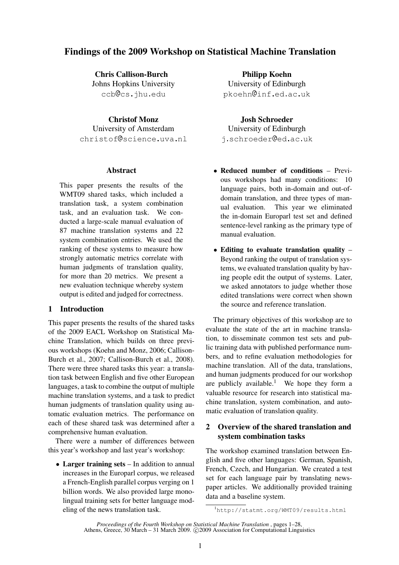# Findings of the 2009 Workshop on Statistical Machine Translation

Chris Callison-Burch Johns Hopkins University ccb@cs.jhu.edu

Christof Monz University of Amsterdam christof Oscience.uva.nl

# **Abstract**

This paper presents the results of the WMT09 shared tasks, which included a translation task, a system combination task, and an evaluation task. We conducted a large-scale manual evaluation of 87 machine translation systems and 22 system combination entries. We used the ranking of these systems to measure how strongly automatic metrics correlate with human judgments of translation quality, for more than 20 metrics. We present a new evaluation technique whereby system output is edited and judged for correctness.

# 1 Introduction

This paper presents the results of the shared tasks of the 2009 EACL Workshop on Statistical Machine Translation, which builds on three previous workshops (Koehn and Monz, 2006; Callison-Burch et al., 2007; Callison-Burch et al., 2008). There were three shared tasks this year: a translation task between English and five other European languages, a task to combine the output of multiple machine translation systems, and a task to predict human judgments of translation quality using automatic evaluation metrics. The performance on each of these shared task was determined after a comprehensive human evaluation.

There were a number of differences between this year's workshop and last year's workshop:

• Larger training sets – In addition to annual increases in the Europarl corpus, we released a French-English parallel corpus verging on 1 billion words. We also provided large monolingual training sets for better language modeling of the news translation task.

Philipp Koehn University of Edinburgh pkoehn Oinf.ed.ac.uk

# Josh Schroeder

University of Edinburgh j.schroeder @ed.ac.uk

- Reduced number of conditions Previous workshops had many conditions: 10 language pairs, both in-domain and out-ofdomain translation, and three types of manual evaluation. This year we eliminated the in-domain Europarl test set and defined sentence-level ranking as the primary type of manual evaluation.
- Editing to evaluate translation quality Beyond ranking the output of translation systems, we evaluated translation quality by having people edit the output of systems. Later, we asked annotators to judge whether those edited translations were correct when shown the source and reference translation.

The primary objectives of this workshop are to evaluate the state of the art in machine translation, to disseminate common test sets and public training data with published performance numbers, and to refine evaluation methodologies for machine translation. All of the data, translations, and human judgments produced for our workshop are publicly available.<sup>1</sup> We hope they form a valuable resource for research into statistical machine translation, system combination, and automatic evaluation of translation quality.

# 2 Overview of the shared translation and system combination tasks

The workshop examined translation between English and five other languages: German, Spanish, French, Czech, and Hungarian. We created a test set for each language pair by translating newspaper articles. We additionally provided training data and a baseline system.

<sup>1</sup>http://statmt.org/WMT09/results.html

*Proceedings of the Fourth Workshop on Statistical Machine Translation* , pages 1–28, Athens, Greece, 30 March – 31 March 2009. © 2009 Association for Computational Linguistics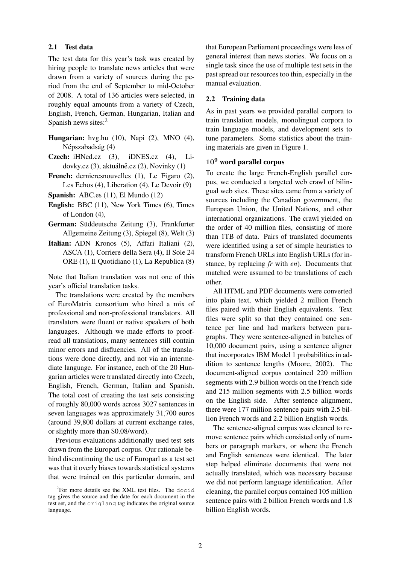# 2.1 Test data

The test data for this year's task was created by hiring people to translate news articles that were drawn from a variety of sources during the period from the end of September to mid-October of 2008. A total of 136 articles were selected, in roughly equal amounts from a variety of Czech, English, French, German, Hungarian, Italian and Spanish news sites:<sup>2</sup>

- Hungarian: hvg.hu (10), Napi (2), MNO (4), Népszabadság (4)
- Czech: iHNed.cz (3), iDNES.cz (4), Lidovky.cz  $(3)$ , aktuálně.cz  $(2)$ , Novinky  $(1)$
- French: dernieresnouvelles (1), Le Figaro (2), Les Echos (4), Liberation (4), Le Devoir (9)
- Spanish: ABC.es (11), El Mundo (12)
- English: BBC (11), New York Times (6), Times of London (4),
- German: Süddeutsche Zeitung (3), Frankfurter Allgemeine Zeitung (3), Spiegel (8), Welt (3)
- Italian: ADN Kronos (5), Affari Italiani (2), ASCA (1), Corriere della Sera (4), Il Sole 24 ORE (1), Il Quotidiano (1), La Republica (8)

Note that Italian translation was not one of this year's official translation tasks.

The translations were created by the members of EuroMatrix consortium who hired a mix of professional and non-professional translators. All translators were fluent or native speakers of both languages. Although we made efforts to proofread all translations, many sentences still contain minor errors and disfluencies. All of the translations were done directly, and not via an intermediate language. For instance, each of the 20 Hungarian articles were translated directly into Czech, English, French, German, Italian and Spanish. The total cost of creating the test sets consisting of roughly 80,000 words across 3027 sentences in seven languages was approximately 31,700 euros (around 39,800 dollars at current exchange rates, or slightly more than \$0.08/word).

Previous evaluations additionally used test sets drawn from the Europarl corpus. Our rationale behind discontinuing the use of Europarl as a test set was that it overly biases towards statistical systems that were trained on this particular domain, and that European Parliament proceedings were less of general interest than news stories. We focus on a single task since the use of multiple test sets in the past spread our resources too thin, especially in the manual evaluation.

#### 2.2 Training data

As in past years we provided parallel corpora to train translation models, monolingual corpora to train language models, and development sets to tune parameters. Some statistics about the training materials are given in Figure 1.

# 10<sup>9</sup> word parallel corpus

To create the large French-English parallel corpus, we conducted a targeted web crawl of bilingual web sites. These sites came from a variety of sources including the Canadian government, the European Union, the United Nations, and other international organizations. The crawl yielded on the order of 40 million files, consisting of more than 1TB of data. Pairs of translated documents were identified using a set of simple heuristics to transform French URLs into English URLs (for instance, by replacing *fr* with *en*). Documents that matched were assumed to be translations of each other.

All HTML and PDF documents were converted into plain text, which yielded 2 million French files paired with their English equivalents. Text files were split so that they contained one sentence per line and had markers between paragraphs. They were sentence-aligned in batches of 10,000 document pairs, using a sentence aligner that incorporates IBM Model 1 probabilities in addition to sentence lengths (Moore, 2002). The document-aligned corpus contained 220 million segments with 2.9 billion words on the French side and 215 million segments with 2.5 billion words on the English side. After sentence alignment, there were 177 million sentence pairs with 2.5 billion French words and 2.2 billion English words.

The sentence-aligned corpus was cleaned to remove sentence pairs which consisted only of numbers or paragraph markers, or where the French and English sentences were identical. The later step helped eliminate documents that were not actually translated, which was necessary because we did not perform language identification. After cleaning, the parallel corpus contained 105 million sentence pairs with 2 billion French words and 1.8 billion English words.

 ${}^{2}$ For more details see the XML test files. The docid tag gives the source and the date for each document in the test set, and the origlang tag indicates the original source language.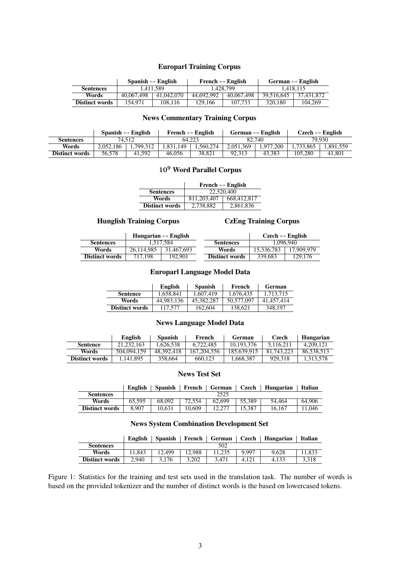# Europarl Training Corpus

|                       | Spanish $\leftrightarrow$ English |            |            | French $\leftrightarrow$ English | German $\leftrightarrow$ English |            |
|-----------------------|-----------------------------------|------------|------------|----------------------------------|----------------------------------|------------|
| <b>Sentences</b>      | 1.411.589                         |            | 1.428.799  |                                  | 1.418.115                        |            |
| Words                 | 40,067,498                        | 41,042,070 | 44,692,992 | 40,067,498                       | 39.516.645                       | 37.431.872 |
| <b>Distinct words</b> | 154.971                           | 108.116    | 129.166    | 107.733                          | 320,180                          | 104.269    |

# News Commentary Training Corpus

|                       |           | Spanish $\leftrightarrow$ English | French $\leftrightarrow$ English |          | German $\leftrightarrow$ English |          | $Czech \leftrightarrow English$ |          |
|-----------------------|-----------|-----------------------------------|----------------------------------|----------|----------------------------------|----------|---------------------------------|----------|
| <b>Sentences</b>      |           | 74.512                            |                                  | 64.223   |                                  | 82.740   |                                 | 79.930   |
| Words                 | 2.052.186 | .799.312                          | .831.149                         | .560.274 | 2.051.369                        | .977.200 | .733.865                        | .891.559 |
| <b>Distinct words</b> | 56.578    | 41.592                            | 46,056                           | 38.821   | 92.313                           | 43.383   | 105.280                         | 41.801   |

# 10<sup>9</sup> Word Parallel Corpus

|                       | French $\leftrightarrow$ English |             |  |  |  |
|-----------------------|----------------------------------|-------------|--|--|--|
| <b>Sentences</b>      | 22,520,400                       |             |  |  |  |
| Words                 | 811.203.407                      | 668,412,817 |  |  |  |
| <b>Distinct words</b> | 2,738,882                        | 2,861,836   |  |  |  |

# Hunglish Training Corpus CzEng Training Corpus

|                       |            | Hungarian $\leftrightarrow$ English |                       | $Czech \leftrightarrow English$ |            |  |
|-----------------------|------------|-------------------------------------|-----------------------|---------------------------------|------------|--|
| <b>Sentences</b>      | 1.517.584  |                                     | <b>Sentences</b>      | 1.096.940                       |            |  |
| Words                 | 26.114.985 | 31.467.693                          | Words                 | 15.336.783                      | 17.909.979 |  |
| <b>Distinct words</b> | 717.198    | 192.901                             | <b>Distinct words</b> | 339.683                         | 129,176    |  |

# Europarl Language Model Data

|                       | English    | <b>Spanish</b> | French     | German     |
|-----------------------|------------|----------------|------------|------------|
| <b>Sentence</b>       | 1.658.841  | 1.607.419      | 1.676.435  | 1.713.715  |
| Words                 | 44.983.136 | 45,382,287     | 50.577,097 | 41.457.414 |
| <b>Distinct words</b> | 117,577    | 162,604        | 138.621    | 348,197    |

# News Language Model Data

|                       | English     | <b>Spanish</b> | French        | German      | Czech      | Hungarian  |
|-----------------------|-------------|----------------|---------------|-------------|------------|------------|
| <b>Sentence</b>       | 21.232.163  | .626.538       | 6.722.485     | 10.193.376  | 5.116.211  | 4.209.121  |
| Words                 | 504,094,159 | 48.392.418     | 167, 204, 556 | 185,639,915 | 81,743,223 | 86.538.513 |
| <b>Distinct words</b> | 1.141.895   | 358,664        | 660.123       | .668.387    | 929.318    | 1.313.578  |

# News Test Set

|                  |  |      | English   Spanish   French   German   Czech   Hungarian   Italian |  |
|------------------|--|------|-------------------------------------------------------------------|--|
| <b>Sentences</b> |  | 2525 |                                                                   |  |

| Words                 | 65.595 | 68,092 | 72.554 | 62,699 | 55.389 | .464<br>54. | 64,906 |
|-----------------------|--------|--------|--------|--------|--------|-------------|--------|
| <b>Distinct words</b> | 8.907  | 10.631 | 10.609 | 12.277 | 15,387 | 16.167      | .046   |

# News System Combination Development Set

|                       | <b>English</b> | <b>Spanish</b> | French | German | Czech | Hungarian | Italian |
|-----------------------|----------------|----------------|--------|--------|-------|-----------|---------|
| <b>Sentences</b>      |                |                |        | 502    |       |           |         |
| Words                 | 11.843         | 12.499         | 12.988 |        | 9.997 | 9.628     | 1.833   |
| <b>Distinct words</b> | 2.940          | 3.176          | 3.202  | 3.471  | 4.121 | 4.133     | 3.318   |

Figure 1: Statistics for the training and test sets used in the translation task. The number of words is based on the provided tokenizer and the number of distinct words is the based on lowercased tokens.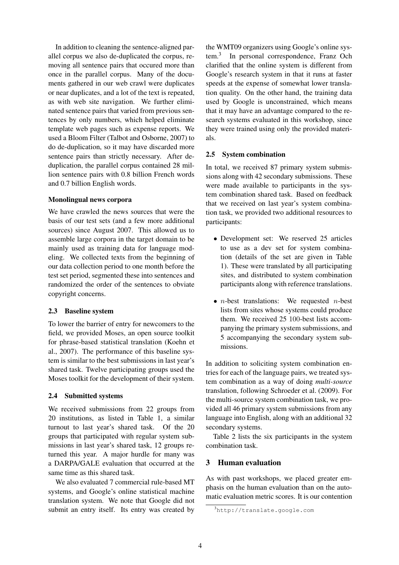In addition to cleaning the sentence-aligned parallel corpus we also de-duplicated the corpus, removing all sentence pairs that occured more than once in the parallel corpus. Many of the documents gathered in our web crawl were duplicates or near duplicates, and a lot of the text is repeated, as with web site navigation. We further eliminated sentence pairs that varied from previous sentences by only numbers, which helped eliminate template web pages such as expense reports. We used a Bloom Filter (Talbot and Osborne, 2007) to do de-duplication, so it may have discarded more sentence pairs than strictly necessary. After deduplication, the parallel corpus contained 28 million sentence pairs with 0.8 billion French words and 0.7 billion English words.

# Monolingual news corpora

We have crawled the news sources that were the basis of our test sets (and a few more additional sources) since August 2007. This allowed us to assemble large corpora in the target domain to be mainly used as training data for language modeling. We collected texts from the beginning of our data collection period to one month before the test set period, segmented these into sentences and randomized the order of the sentences to obviate copyright concerns.

# 2.3 Baseline system

To lower the barrier of entry for newcomers to the field, we provided Moses, an open source toolkit for phrase-based statistical translation (Koehn et al., 2007). The performance of this baseline system is similar to the best submissions in last year's shared task. Twelve participating groups used the Moses toolkit for the development of their system.

# 2.4 Submitted systems

We received submissions from 22 groups from 20 institutions, as listed in Table 1, a similar turnout to last year's shared task. Of the 20 groups that participated with regular system submissions in last year's shared task, 12 groups returned this year. A major hurdle for many was a DARPA/GALE evaluation that occurred at the same time as this shared task.

We also evaluated 7 commercial rule-based MT systems, and Google's online statistical machine translation system. We note that Google did not submit an entry itself. Its entry was created by the WMT09 organizers using Google's online system.<sup>3</sup> In personal correspondence, Franz Och clarified that the online system is different from Google's research system in that it runs at faster speeds at the expense of somewhat lower translation quality. On the other hand, the training data used by Google is unconstrained, which means that it may have an advantage compared to the research systems evaluated in this workshop, since they were trained using only the provided materials.

# 2.5 System combination

In total, we received 87 primary system submissions along with 42 secondary submissions. These were made available to participants in the system combination shared task. Based on feedback that we received on last year's system combination task, we provided two additional resources to participants:

- Development set: We reserved 25 articles to use as a dev set for system combination (details of the set are given in Table 1). These were translated by all participating sites, and distributed to system combination participants along with reference translations.
- $n$ -best translations: We requested  $n$ -best lists from sites whose systems could produce them. We received 25 100-best lists accompanying the primary system submissions, and 5 accompanying the secondary system submissions.

In addition to soliciting system combination entries for each of the language pairs, we treated system combination as a way of doing *multi-source* translation, following Schroeder et al. (2009). For the multi-source system combination task, we provided all 46 primary system submissions from any language into English, along with an additional 32 secondary systems.

Table 2 lists the six participants in the system combination task.

# 3 Human evaluation

As with past workshops, we placed greater emphasis on the human evaluation than on the automatic evaluation metric scores. It is our contention

<sup>3</sup>http://translate.google.com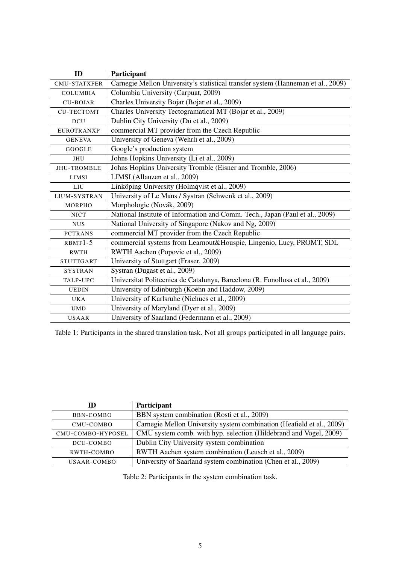| ID                  | Participant                                                                      |
|---------------------|----------------------------------------------------------------------------------|
| <b>CMU-STATXFER</b> | Carnegie Mellon University's statistical transfer system (Hanneman et al., 2009) |
| <b>COLUMBIA</b>     | Columbia University (Carpuat, 2009)                                              |
| <b>CU-BOJAR</b>     | Charles University Bojar (Bojar et al., 2009)                                    |
| <b>CU-TECTOMT</b>   | Charles University Tectogramatical MT (Bojar et al., 2009)                       |
| <b>DCU</b>          | Dublin City University (Du et al., 2009)                                         |
| <b>EUROTRANXP</b>   | commercial MT provider from the Czech Republic                                   |
| <b>GENEVA</b>       | University of Geneva (Wehrli et al., 2009)                                       |
| <b>GOOGLE</b>       | Google's production system                                                       |
| <b>JHU</b>          | Johns Hopkins University (Li et al., 2009)                                       |
| <b>JHU-TROMBLE</b>  | Johns Hopkins University Tromble (Eisner and Tromble, 2006)                      |
| <b>LIMSI</b>        | LIMSI (Allauzen et al., 2009)                                                    |
| LIU                 | Linköping University (Holmqvist et al., 2009)                                    |
| LIUM-SYSTRAN        | University of Le Mans / Systran (Schwenk et al., 2009)                           |
| <b>MORPHO</b>       | Morphologic (Novák, 2009)                                                        |
| <b>NICT</b>         | National Institute of Information and Comm. Tech., Japan (Paul et al., 2009)     |
| <b>NUS</b>          | National University of Singapore (Nakov and Ng, 2009)                            |
| <b>PCTRANS</b>      | commercial MT provider from the Czech Republic                                   |
| $RBMT1-5$           | commercial systems from Learnout&Houspie, Lingenio, Lucy, PROMT, SDL             |
| <b>RWTH</b>         | RWTH Aachen (Popovic et al., 2009)                                               |
| <b>STUTTGART</b>    | University of Stuttgart (Fraser, 2009)                                           |
| <b>SYSTRAN</b>      | Systran (Dugast et al., 2009)                                                    |
| <b>TALP-UPC</b>     | Universitat Politecnica de Catalunya, Barcelona (R. Fonollosa et al., 2009)      |
| <b>UEDIN</b>        | University of Edinburgh (Koehn and Haddow, 2009)                                 |
| <b>UKA</b>          | University of Karlsruhe (Niehues et al., 2009)                                   |
| <b>UMD</b>          | University of Maryland (Dyer et al., 2009)                                       |
| <b>USAAR</b>        | University of Saarland (Federmann et al., 2009)                                  |

Table 1: Participants in the shared translation task. Not all groups participated in all language pairs.

| ID                | Participant                                                           |
|-------------------|-----------------------------------------------------------------------|
| BBN-COMBO         | BBN system combination (Rosti et al., 2009)                           |
| CMU-COMBO         | Carnegie Mellon University system combination (Heafield et al., 2009) |
| CMU-COMBO-HYPOSEL | CMU system comb. with hyp. selection (Hildebrand and Vogel, 2009)     |
| DCU-COMBO         | Dublin City University system combination                             |
| RWTH-COMBO        | RWTH Aachen system combination (Leusch et al., 2009)                  |
| USAAR-COMBO       | University of Saarland system combination (Chen et al., 2009)         |

Table 2: Participants in the system combination task.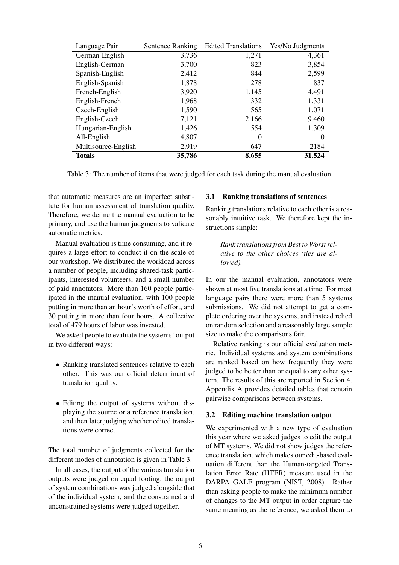| Language Pair       | <b>Sentence Ranking</b> | <b>Edited Translations</b> | Yes/No Judgments |
|---------------------|-------------------------|----------------------------|------------------|
| German-English      | 3,736                   | 1,271                      | 4,361            |
| English-German      | 3,700                   | 823                        | 3,854            |
| Spanish-English     | 2,412                   | 844                        | 2,599            |
| English-Spanish     | 1,878                   | 278                        | 837              |
| French-English      | 3,920                   | 1,145                      | 4,491            |
| English-French      | 1,968                   | 332                        | 1,331            |
| Czech-English       | 1,590                   | 565                        | 1,071            |
| English-Czech       | 7,121                   | 2,166                      | 9,460            |
| Hungarian-English   | 1,426                   | 554                        | 1,309            |
| All-English         | 4,807                   | $\Omega$                   | 0                |
| Multisource-English | 2,919                   | 647                        | 2184             |
| <b>Totals</b>       | 35,786                  | 8,655                      | 31,524           |

Table 3: The number of items that were judged for each task during the manual evaluation.

that automatic measures are an imperfect substitute for human assessment of translation quality. Therefore, we define the manual evaluation to be primary, and use the human judgments to validate automatic metrics.

Manual evaluation is time consuming, and it requires a large effort to conduct it on the scale of our workshop. We distributed the workload across a number of people, including shared-task participants, interested volunteers, and a small number of paid annotators. More than 160 people participated in the manual evaluation, with 100 people putting in more than an hour's worth of effort, and 30 putting in more than four hours. A collective total of 479 hours of labor was invested.

We asked people to evaluate the systems' output in two different ways:

- Ranking translated sentences relative to each other. This was our official determinant of translation quality.
- Editing the output of systems without displaying the source or a reference translation, and then later judging whether edited translations were correct.

The total number of judgments collected for the different modes of annotation is given in Table 3.

In all cases, the output of the various translation outputs were judged on equal footing; the output of system combinations was judged alongside that of the individual system, and the constrained and unconstrained systems were judged together.

# 3.1 Ranking translations of sentences

Ranking translations relative to each other is a reasonably intuitive task. We therefore kept the instructions simple:

*Rank translations from Best to Worst relative to the other choices (ties are allowed).*

In our the manual evaluation, annotators were shown at most five translations at a time. For most language pairs there were more than 5 systems submissions. We did not attempt to get a complete ordering over the systems, and instead relied on random selection and a reasonably large sample size to make the comparisons fair.

Relative ranking is our official evaluation metric. Individual systems and system combinations are ranked based on how frequently they were judged to be better than or equal to any other system. The results of this are reported in Section 4. Appendix A provides detailed tables that contain pairwise comparisons between systems.

# 3.2 Editing machine translation output

We experimented with a new type of evaluation this year where we asked judges to edit the output of MT systems. We did not show judges the reference translation, which makes our edit-based evaluation different than the Human-targeted Translation Error Rate (HTER) measure used in the DARPA GALE program (NIST, 2008). Rather than asking people to make the minimum number of changes to the MT output in order capture the same meaning as the reference, we asked them to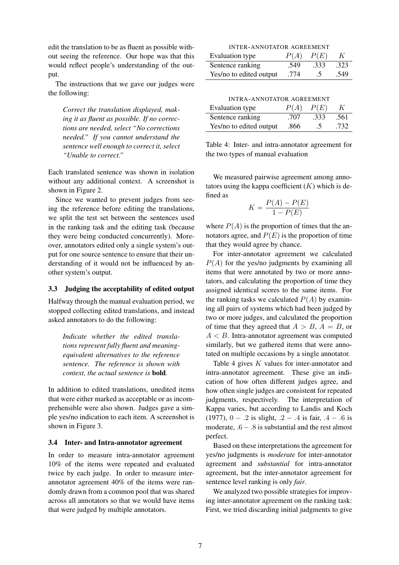edit the translation to be as fluent as possible without seeing the reference. Our hope was that this would reflect people's understanding of the output.

The instructions that we gave our judges were the following:

*Correct the translation displayed, making it as fluent as possible. If no corrections are needed, select "No corrections needed." If you cannot understand the sentence well enough to correct it, select "Unable to correct."*

Each translated sentence was shown in isolation without any additional context. A screenshot is shown in Figure 2.

Since we wanted to prevent judges from seeing the reference before editing the translations, we split the test set between the sentences used in the ranking task and the editing task (because they were being conducted concurrently). Moreover, annotators edited only a single system's output for one source sentence to ensure that their understanding of it would not be influenced by another system's output.

# 3.3 Judging the acceptability of edited output

Halfway through the manual evaluation period, we stopped collecting edited translations, and instead asked annotators to do the following:

*Indicate whether the edited translations represent fully fluent and meaningequivalent alternatives to the reference sentence. The reference is shown with context, the actual sentence is* bold*.*

In addition to edited translations, unedited items that were either marked as acceptable or as incomprehensible were also shown. Judges gave a simple yes/no indication to each item. A screenshot is shown in Figure 3.

# 3.4 Inter- and Intra-annotator agreement

In order to measure intra-annotator agreement 10% of the items were repeated and evaluated twice by each judge. In order to measure interannotator agreement 40% of the items were randomly drawn from a common pool that was shared across all annotators so that we would have items that were judged by multiple annotators.

| <b>INTER-ANNOTATOR AGREEMENT</b>     |      |         |      |  |
|--------------------------------------|------|---------|------|--|
| P(A)<br>P(E)<br>Evaluation type<br>K |      |         |      |  |
| Sentence ranking                     | .549 | .333    | .323 |  |
| Yes/no to edited output              | .774 | $\cdot$ | .549 |  |

INTRA-ANNOTATOR AGREEMENT

| Evaluation type         | P(A) | P(E) |      |
|-------------------------|------|------|------|
| Sentence ranking        | .707 | .333 | .561 |
| Yes/no to edited output | .866 | .5   | .732 |

Table 4: Inter- and intra-annotator agreement for the two types of manual evaluation

We measured pairwise agreement among annotators using the kappa coefficient  $(K)$  which is defined as

$$
K = \frac{P(A) - P(E)}{1 - P(E)}
$$

where  $P(A)$  is the proportion of times that the annotators agree, and  $P(E)$  is the proportion of time that they would agree by chance.

For inter-annotator agreement we calculated  $P(A)$  for the yes/no judgments by examining all items that were annotated by two or more annotators, and calculating the proportion of time they assigned identical scores to the same items. For the ranking tasks we calculated  $P(A)$  by examining all pairs of systems which had been judged by two or more judges, and calculated the proportion of time that they agreed that  $A > B$ ,  $A = B$ , or  $A < B$ . Intra-annotator agreement was computed similarly, but we gathered items that were annotated on multiple occasions by a single annotator.

Table 4 gives K values for inter-annotator and intra-annotator agreement. These give an indication of how often different judges agree, and how often single judges are consistent for repeated judgments, respectively. The interpretation of Kappa varies, but according to Landis and Koch (1977),  $0 - .2$  is slight,  $.2 - .4$  is fair,  $.4 - .6$  is moderate,  $.6 - .8$  is substantial and the rest almost perfect.

Based on these interpretations the agreement for yes/no judgments is *moderate* for inter-annotator agreement and *substantial* for intra-annotator agreement, but the inter-annotator agreement for sentence level ranking is only *fair*.

We analyzed two possible strategies for improving inter-annotator agreement on the ranking task: First, we tried discarding initial judgments to give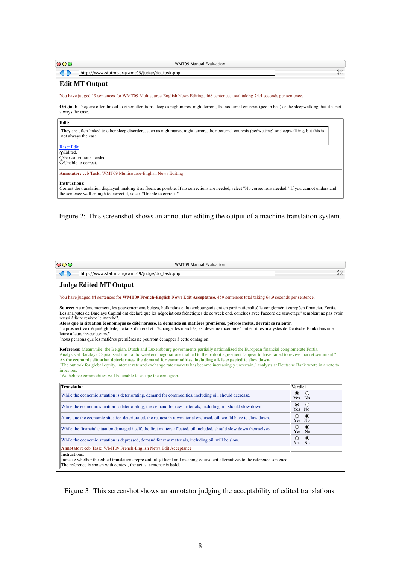| 000                           | <b>WMT09 Manual Evaluation</b>                                                                                                                                                                                                   |   |
|-------------------------------|----------------------------------------------------------------------------------------------------------------------------------------------------------------------------------------------------------------------------------|---|
|                               | http://www.statmt.org/wmt09/judge/do_task.php                                                                                                                                                                                    | 禁 |
|                               | <b>Edit MT Output</b>                                                                                                                                                                                                            |   |
|                               | You have judged 19 sentences for WMT09 Multisource-English News Editing, 468 sentences total taking 74.4 seconds per sentence.                                                                                                   |   |
| always the case.              | <b>Original:</b> They are often linked to other alterations sleep as nightmares, night terrors, the nocturnal enuresis (pee in bed) or the sleepwalking, but it is not                                                           |   |
| Edit:                         |                                                                                                                                                                                                                                  |   |
|                               | They are often linked to other sleep disorders, such as nightmares, night terrors, the nocturnal enuresis (bedwetting) or sleepwalking, but this is<br>not always the case.                                                      |   |
| <b>Reset Edit</b><br>⊙Edited. |                                                                                                                                                                                                                                  |   |
|                               | $\bigcirc$ No corrections needed.                                                                                                                                                                                                |   |
| $\bigcirc$ Unable to correct. |                                                                                                                                                                                                                                  |   |
|                               | <b>Annotator:</b> ccb Task: WMT09 Multisource-English News Editing                                                                                                                                                               |   |
| <b>Instructions:</b>          |                                                                                                                                                                                                                                  |   |
|                               | Correct the translation displayed, making it as fluent as possble. If no corrections are needed, select "No corrections needed." If you cannot understand<br>the sentence well enough to correct it, select "Unable to correct." |   |

Figure 2: This screenshot shows an annotator editing the output of a machine translation system.

| 000                                                                                                                                                                                                                                                                                                                                                                                                                                                                                                                                                                                                                                           | <b>WMT09 Manual Evaluation</b>                                                                                                                                                                                                                                                                                                              |                                 |
|-----------------------------------------------------------------------------------------------------------------------------------------------------------------------------------------------------------------------------------------------------------------------------------------------------------------------------------------------------------------------------------------------------------------------------------------------------------------------------------------------------------------------------------------------------------------------------------------------------------------------------------------------|---------------------------------------------------------------------------------------------------------------------------------------------------------------------------------------------------------------------------------------------------------------------------------------------------------------------------------------------|---------------------------------|
| $\langle \vert \; \vert \; \rangle$                                                                                                                                                                                                                                                                                                                                                                                                                                                                                                                                                                                                           | http://www.statmt.org/wmt09/judge/do_task.php                                                                                                                                                                                                                                                                                               | 禁                               |
|                                                                                                                                                                                                                                                                                                                                                                                                                                                                                                                                                                                                                                               | <b>Judge Edited MT Output</b>                                                                                                                                                                                                                                                                                                               |                                 |
|                                                                                                                                                                                                                                                                                                                                                                                                                                                                                                                                                                                                                                               | You have judged 84 sentences for WMT09 French-English News Edit Acceptance, 459 sentences total taking 64.9 seconds per sentence.                                                                                                                                                                                                           |                                 |
| Source: Au même moment, les gouvernements belges, hollandais et luxembourgeois ont en parti nationalisé le conglomérat européen financier, Fortis.<br>Les analystes de Barclays Capital ont déclaré que les négociations frénétiques de ce week end, conclues avec l'accord de sauvetage" semblent ne pas avoir<br>réussi à faire revivre le marché".<br>Alors que la situation économique se détériorasse, la demande en matières premières, pétrole inclus, devrait se ralentir.<br>"la prospective d'équité globale, de taux d'intérêt et d'échange des marchés, est devenue incertaine" ont écrit les analystes de Deutsche Bank dans une |                                                                                                                                                                                                                                                                                                                                             |                                 |
|                                                                                                                                                                                                                                                                                                                                                                                                                                                                                                                                                                                                                                               | lettre à leurs investisseurs."<br>"nous pensons que les matières premières ne pourront échapper à cette contagion.                                                                                                                                                                                                                          |                                 |
|                                                                                                                                                                                                                                                                                                                                                                                                                                                                                                                                                                                                                                               | Reference: Meanwhile, the Belgian, Dutch and Luxembourg governments partially nationalized the European financial conglomerate Fortis.<br>Analysts at Barclays Capital said the frantic weekend negotiations that led to the bailout agreement "appear to have failed to revive market sentiment."                                          |                                 |
|                                                                                                                                                                                                                                                                                                                                                                                                                                                                                                                                                                                                                                               | As the economic situation deteriorates, the demand for commodities, including oil, is expected to slow down.<br>"The outlook for global equity, interest rate and exchange rate markets has become increasingly uncertain," analysts at Deutsche Bank wrote in a note to<br>"We believe commodities will be unable to escape the contagion. |                                 |
| <b>Translation</b>                                                                                                                                                                                                                                                                                                                                                                                                                                                                                                                                                                                                                            |                                                                                                                                                                                                                                                                                                                                             | <b>Verdict</b>                  |
|                                                                                                                                                                                                                                                                                                                                                                                                                                                                                                                                                                                                                                               | While the economic situation is deteriorating, demand for commodities, including oil, should decrease.                                                                                                                                                                                                                                      | $\odot$<br>$\bigcirc$<br>Yes No |
|                                                                                                                                                                                                                                                                                                                                                                                                                                                                                                                                                                                                                                               | While the economic situation is deteriorating, the demand for raw materials, including oil, should slow down.                                                                                                                                                                                                                               | $\odot$<br>$\bigcirc$<br>Yes No |
|                                                                                                                                                                                                                                                                                                                                                                                                                                                                                                                                                                                                                                               | Alors que the economic situation deteriorated, the request in rawmaterial enclosed, oil, would have to slow down.                                                                                                                                                                                                                           | $\odot$<br>$\bigcirc$<br>Yes No |
|                                                                                                                                                                                                                                                                                                                                                                                                                                                                                                                                                                                                                                               | While the financial situation damaged itself, the first matters affected, oil included, should slow down themselves.                                                                                                                                                                                                                        | $\circ$<br>$\odot$<br>Yes No    |
|                                                                                                                                                                                                                                                                                                                                                                                                                                                                                                                                                                                                                                               | While the economic situation is depressed, demand for raw materials, including oil, will be slow.                                                                                                                                                                                                                                           | $\bigcirc$<br>$\odot$<br>Yes No |
| investors.<br>Instructions:                                                                                                                                                                                                                                                                                                                                                                                                                                                                                                                                                                                                                   | Annotator: ccb Task: WMT09 French-English News Edit Acceptance                                                                                                                                                                                                                                                                              |                                 |

Figure 3: This screenshot shows an annotator judging the acceptability of edited translations.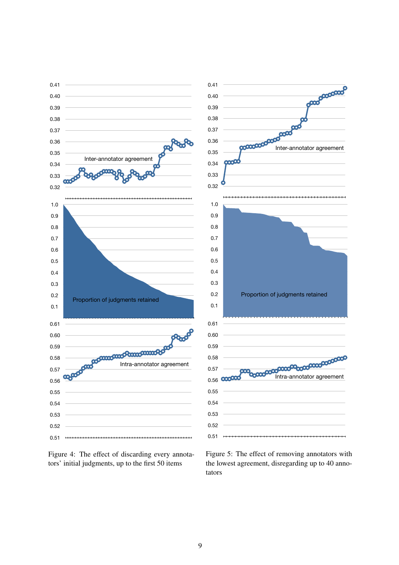



Figure 5: The effect of removing annotators with the lowest agreement, disregarding up to 40 annotators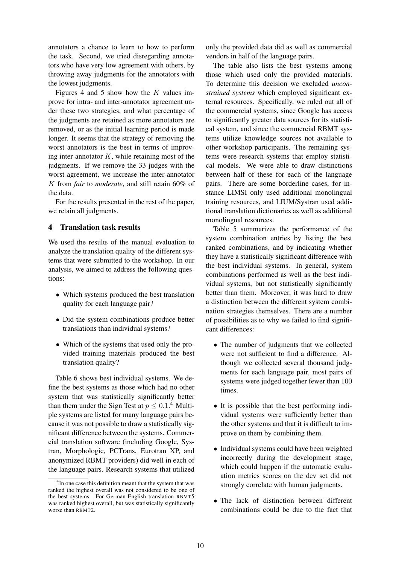annotators a chance to learn to how to perform the task. Second, we tried disregarding annotators who have very low agreement with others, by throwing away judgments for the annotators with the lowest judgments.

Figures 4 and 5 show how the  $K$  values improve for intra- and inter-annotator agreement under these two strategies, and what percentage of the judgments are retained as more annotators are removed, or as the initial learning period is made longer. It seems that the strategy of removing the worst annotators is the best in terms of improving inter-annotator  $K$ , while retaining most of the judgments. If we remove the 33 judges with the worst agreement, we increase the inter-annotator K from *fair* to *moderate*, and still retain 60% of the data.

For the results presented in the rest of the paper, we retain all judgments.

# 4 Translation task results

We used the results of the manual evaluation to analyze the translation quality of the different systems that were submitted to the workshop. In our analysis, we aimed to address the following questions:

- Which systems produced the best translation quality for each language pair?
- Did the system combinations produce better translations than individual systems?
- Which of the systems that used only the provided training materials produced the best translation quality?

Table 6 shows best individual systems. We define the best systems as those which had no other system that was statistically significantly better than them under the Sign Test at  $p \leq 0.1$ .<sup>4</sup> Multiple systems are listed for many language pairs because it was not possible to draw a statistically significant difference between the systems. Commercial translation software (including Google, Systran, Morphologic, PCTrans, Eurotran XP, and anonymized RBMT providers) did well in each of the language pairs. Research systems that utilized only the provided data did as well as commercial vendors in half of the language pairs.

The table also lists the best systems among those which used only the provided materials. To determine this decision we excluded *unconstrained systems* which employed significant external resources. Specifically, we ruled out all of the commercial systems, since Google has access to significantly greater data sources for its statistical system, and since the commercial RBMT systems utilize knowledge sources not available to other workshop participants. The remaining systems were research systems that employ statistical models. We were able to draw distinctions between half of these for each of the language pairs. There are some borderline cases, for instance LIMSI only used additional monolingual training resources, and LIUM/Systran used additional translation dictionaries as well as additional monolingual resources.

Table 5 summarizes the performance of the system combination entries by listing the best ranked combinations, and by indicating whether they have a statistically significant difference with the best individual systems. In general, system combinations performed as well as the best individual systems, but not statistically significantly better than them. Moreover, it was hard to draw a distinction between the different system combination strategies themselves. There are a number of possibilities as to why we failed to find significant differences:

- The number of judgments that we collected were not sufficient to find a difference. Although we collected several thousand judgments for each language pair, most pairs of systems were judged together fewer than 100 times.
- It is possible that the best performing individual systems were sufficiently better than the other systems and that it is difficult to improve on them by combining them.
- Individual systems could have been weighted incorrectly during the development stage, which could happen if the automatic evaluation metrics scores on the dev set did not strongly correlate with human judgments.
- The lack of distinction between different combinations could be due to the fact that

<sup>&</sup>lt;sup>4</sup>In one case this definition meant that the system that was ranked the highest overall was not considered to be one of the best systems. For German-English translation RBMT5 was ranked highest overall, but was statistically significantly worse than RBMT2.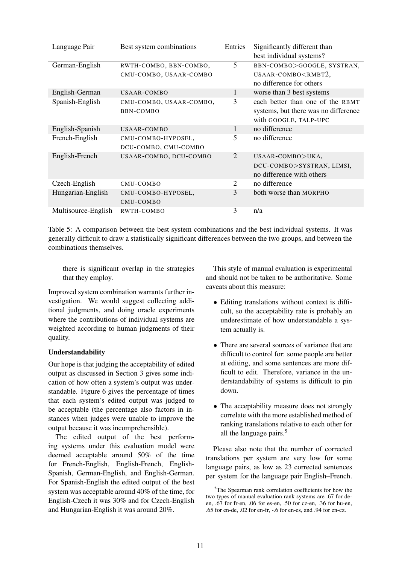| Language Pair       | Best system combinations                         | Entries | Significantly different than<br>best individual systems?                                          |
|---------------------|--------------------------------------------------|---------|---------------------------------------------------------------------------------------------------|
| German-English      | RWTH-COMBO, BBN-COMBO,<br>CMU-COMBO, USAAR-COMBO | 5       | BBN-COMBO>GOOGLE, SYSTRAN,<br>USAAR-COMBO <rmbt2,<br>no difference for others</rmbt2,<br>         |
| English-German      | USAAR-COMBO                                      | 1       | worse than 3 best systems                                                                         |
| Spanish-English     | CMU-COMBO, USAAR-COMBO,<br>BBN-COMBO             | 3       | each better than one of the RBMT<br>systems, but there was no difference<br>with GOOGLE, TALP-UPC |
| English-Spanish     | USAAR-COMBO                                      | 1       | no difference                                                                                     |
| French-English      | CMU-COMBO-HYPOSEL,<br>DCU-COMBO, CMU-COMBO       | 5       | no difference                                                                                     |
| English-French      | USAAR-COMBO, DCU-COMBO                           | 2       | USAAR-COMBO>UKA,<br>DCU-COMBO>SYSTRAN, LIMSI,<br>no difference with others                        |
| Czech-English       | CMU-COMBO                                        | 2       | no difference                                                                                     |
| Hungarian-English   | CMU-COMBO-HYPOSEL,<br>CMU-COMBO                  | 3       | both worse than MORPHO                                                                            |
| Multisource-English | RWTH-COMBO                                       | 3       | n/a                                                                                               |

Table 5: A comparison between the best system combinations and the best individual systems. It was generally difficult to draw a statistically significant differences between the two groups, and between the combinations themselves.

there is significant overlap in the strategies that they employ.

Improved system combination warrants further investigation. We would suggest collecting additional judgments, and doing oracle experiments where the contributions of individual systems are weighted according to human judgments of their quality.

# Understandability

Our hope is that judging the acceptability of edited output as discussed in Section 3 gives some indication of how often a system's output was understandable. Figure 6 gives the percentage of times that each system's edited output was judged to be acceptable (the percentage also factors in instances when judges were unable to improve the output because it was incomprehensible).

The edited output of the best performing systems under this evaluation model were deemed acceptable around 50% of the time for French-English, English-French, English-Spanish, German-English, and English-German. For Spanish-English the edited output of the best system was acceptable around 40% of the time, for English-Czech it was 30% and for Czech-English and Hungarian-English it was around 20%.

This style of manual evaluation is experimental and should not be taken to be authoritative. Some caveats about this measure:

- Editing translations without context is difficult, so the acceptability rate is probably an underestimate of how understandable a system actually is.
- There are several sources of variance that are difficult to control for: some people are better at editing, and some sentences are more difficult to edit. Therefore, variance in the understandability of systems is difficult to pin down.
- The acceptability measure does not strongly correlate with the more established method of ranking translations relative to each other for all the language pairs.<sup>5</sup>

Please also note that the number of corrected translations per system are very low for some language pairs, as low as 23 corrected sentences per system for the language pair English–French.

 $5$ The Spearman rank correlation coefficients for how the two types of manual evaluation rank systems are .67 for deen, .67 for fr-en, .06 for es-en, .50 for cz-en, .36 for hu-en, .65 for en-de, .02 for en-fr, -.6 for en-es, and .94 for en-cz.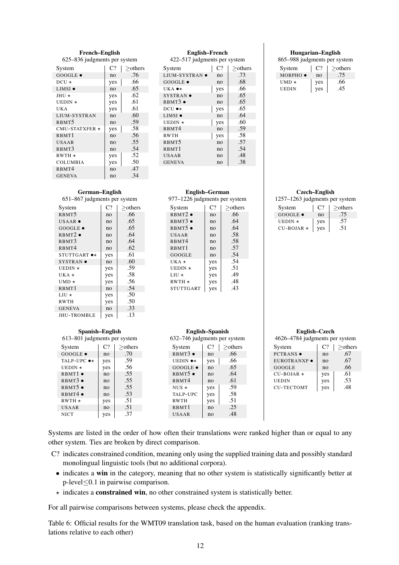#### French–English 625–836 judgments per system

| System               | $C$ ? | $>$ others |
|----------------------|-------|------------|
| $GOOGLE \bullet$     | no    | .76        |
| $DCU \star$          | yes   | .66        |
| $LIMSI$ $\bullet$    | no    | .65        |
| $JHU*$               | yes   | .62        |
| UEDIN $\star$        | yes   | .61        |
| UK A                 | yes   | .61        |
| LIUM-SYSTRAN         | no    | .60        |
| RBMT <sub>5</sub>    | no    | .59        |
| CMU-STATXFER $\star$ | yes   | .58        |
| RBMT <sub>1</sub>    | no    | .56        |
| <b>USAAR</b>         | no    | .55        |
| RBMT3                | no    | .54        |
| $RWTH*$              | yes   | .52        |
| <b>COLUMBIA</b>      | yes   | .50        |
| RBMT4                | no    | .47        |
| <b>GENEVA</b>        | no    | .34        |

# English–French

422–517 judgments per system

| System                 | C <sub>2</sub> | $>$ others |
|------------------------|----------------|------------|
| LIUM-SYSTRAN $\bullet$ | no             | .73        |
| $GOOGLE \bullet$       | no             | .68        |
| UKA $\bullet\star$     | yes            | .66        |
| $SYSTRAN$ $\bullet$    | no             | .65        |
| $RBMT3$ $\bullet$      | no             | .65        |
| DCU $\bullet\star$     | yes            | .65        |
| LIMSI $\bullet$        | no             | .64        |
| UEDIN $\star$          | yes            | .60        |
| RBMT4                  | no             | .59        |
| <b>RWTH</b>            | yes            | .58        |
| RBMT <sub>5</sub>      | no             | .57        |
| RBMT1                  | no             | .54        |
| USAAR                  | no             | .48        |
| <b>GENEVA</b>          | no             | .38        |

# German–English

#### 651–867 judgments per system

| System                       | C <sub>2</sub> | $>$ others |
|------------------------------|----------------|------------|
| RBMT <sub>5</sub>            | no             | .66        |
| $USAAR$ $\bullet$            | no             | .65        |
| $GOOGLE \bullet$             | n <sub>O</sub> | .65        |
| $RBMT2$ .                    | no             | .64        |
| RBMT3                        | no             | .64        |
| R <sub>BMT4</sub>            | no             | .62        |
| $STUTTGART \rightarrow\star$ | yes            | .61        |
| $SYSTRAN$ $\bullet$          | no             | .60        |
| UEDIN $\star$                | yes            | .59        |
| UKA $\star$                  | yes            | .58        |
| UMD $\star$                  | yes            | .56        |
| RBMT1                        | no             | .54        |
| $LIU*$                       | yes            | .50        |
| <b>RWTH</b>                  | yes            | .50        |
| <b>GENEVA</b>                | no             | .33        |
| <b>JHU-TROMBLE</b>           | yes            | .13        |

#### Spanish–English 613–801 judgments per system

| System                  | C <sub>2</sub> | $>$ others |
|-------------------------|----------------|------------|
| $GOOGLE \bullet$        | n <sub>0</sub> | .70        |
| TALP-UPC $\bullet\star$ | yes            | .59        |
| UEDIN $\star$           | yes            | .56        |
| RBMT1                   | n <sub>O</sub> | .55        |
| $RBMT3$ $\bullet$       | n <sub>O</sub> | .55        |
| $RBMT5$ $\bullet$       | n <sub>O</sub> | .55        |
| RBMT4                   | no             | .53        |
| $RWTH*$                 | yes            | .51        |
| USAAR                   | n <sub>O</sub> | .51        |
| <b>NICT</b>             | ves            | .37        |

#### 977–1226 judgments per system System  $|C?| \geq$ others RBMT2 •  $\qquad$  no  $\qquad$  .66 RBMT3 •  $\vert$  no  $\vert$  .64 RBMT5 •  $\vert$  no  $\vert$  .64 USAAR no .58<br>RBMT4 no .58  $RBMT4$   $\qquad$  no RBMT1 no .57<br>GOOGLE no .54 GOOGLE no 54<br>UKA  $\star$  yes 54 UKA  $\star$  yes .54<br>UEDIN  $\star$  yes .51 UEDIN  $\times$  yes .51<br>LIU  $\times$  yes .49  $LIU \star$  | yes RWTH  $\star$  | yes | .48  $STUTTGART$  yes  $.43$

English–German

#### English–Spanish 632–746 judgments per system

| System               | C?             | $>$ others |
|----------------------|----------------|------------|
| RBMT3                | n <sub>O</sub> | .66        |
| UEDIN $\bullet\star$ | yes            | .66        |
| GOOGLE .             | no             | .65        |
| $RBMT5$ $\bullet$    | no             | .64        |
| RBMT4                | n <sub>O</sub> | .61        |
| NUS $\star$          | yes            | .59        |
| TALP-UPC             | yes            | .58        |
| <b>RWTH</b>          | yes            | .51        |
| RBMT1                | no             | .25        |
| <b>USAAR</b>         | no             | .48        |

#### Hungarian–English

865–988 judgments per system

| System             | $\Gamma$ ? | $>$ others |
|--------------------|------------|------------|
| $MORPHO$ $\bullet$ | no         | .75        |
| UMD $\star$        | yes        | .66        |
| UEDIN              | yes        | .45        |

#### Czech–English

1257–1263 judgments per system

| System           | $\mathsf{C}^{\mathsf{p}}$ | $>$ others |
|------------------|---------------------------|------------|
| $GOOGLE \bullet$ | no                        | 15         |
| UEDIN $\star$    | ves                       | .57        |
| $CU-BOJAR*$      | ves                       | .51        |

| English–Czech                  |
|--------------------------------|
| 4626–4784 judgments per system |

| System            | C <sub>2</sub> | >others |
|-------------------|----------------|---------|
| PCTRANS ·         | no             | .67     |
| EUROTRANXP ·      | no             | .67     |
| GOOGLE            | no             | .66     |
| $CU-BOJAR*$       | yes            | .61     |
| <b>UEDIN</b>      | yes            | .53     |
| <b>CU-TECTOMT</b> | yes            | .48     |

Systems are listed in the order of how often their translations were ranked higher than or equal to any other system. Ties are broken by direct comparison.

- C? indicates constrained condition, meaning only using the supplied training data and possibly standard monolingual linguistic tools (but no additional corpora).
	- indicates a win in the category, meaning that no other system is statistically significantly better at p-level≤0.1 in pairwise comparison.
	- $\star$  indicates a **constrained win**, no other constrained system is statistically better.

For all pairwise comparisons between systems, please check the appendix.

Table 6: Official results for the WMT09 translation task, based on the human evaluation (ranking translations relative to each other)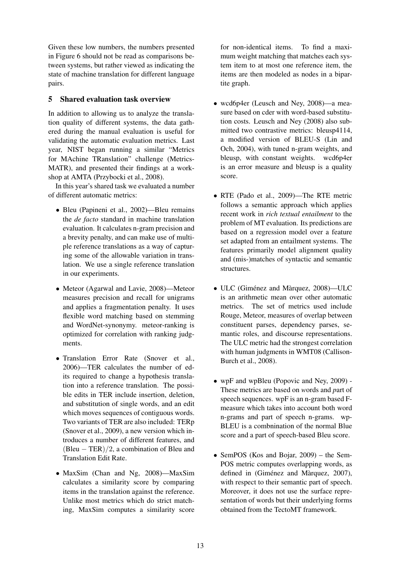Given these low numbers, the numbers presented in Figure 6 should not be read as comparisons between systems, but rather viewed as indicating the state of machine translation for different language pairs.

# 5 Shared evaluation task overview

In addition to allowing us to analyze the translation quality of different systems, the data gathered during the manual evaluation is useful for validating the automatic evaluation metrics. Last year, NIST began running a similar "Metrics for MAchine TRanslation" challenge (Metrics-MATR), and presented their findings at a workshop at AMTA (Przybocki et al., 2008).

In this year's shared task we evaluated a number of different automatic metrics:

- Bleu (Papineni et al., 2002)—Bleu remains the *de facto* standard in machine translation evaluation. It calculates n-gram precision and a brevity penalty, and can make use of multiple reference translations as a way of capturing some of the allowable variation in translation. We use a single reference translation in our experiments.
- Meteor (Agarwal and Lavie, 2008)—Meteor measures precision and recall for unigrams and applies a fragmentation penalty. It uses flexible word matching based on stemming and WordNet-synonymy. meteor-ranking is optimized for correlation with ranking judgments.
- Translation Error Rate (Snover et al., 2006)—TER calculates the number of edits required to change a hypothesis translation into a reference translation. The possible edits in TER include insertion, deletion, and substitution of single words, and an edit which moves sequences of contiguous words. Two variants of TER are also included: TERp (Snover et al., 2009), a new version which introduces a number of different features, and  $(Bleu - TER)/2$ , a combination of Bleu and Translation Edit Rate.
- MaxSim (Chan and Ng, 2008)—MaxSim calculates a similarity score by comparing items in the translation against the reference. Unlike most metrics which do strict matching, MaxSim computes a similarity score

for non-identical items. To find a maximum weight matching that matches each system item to at most one reference item, the items are then modeled as nodes in a bipartite graph.

- wcd6p4er (Leusch and Ney, 2008)—a measure based on cder with word-based substitution costs. Leusch and Ney (2008) also submitted two contrastive metrics: bleusp4114, a modified version of BLEU-S (Lin and Och, 2004), with tuned n-gram weights, and bleusp, with constant weights. wcd6p4er is an error measure and bleusp is a quality score.
- RTE (Pado et al., 2009)—The RTE metric follows a semantic approach which applies recent work in *rich textual entailment* to the problem of MT evaluation. Its predictions are based on a regression model over a feature set adapted from an entailment systems. The features primarily model alignment quality and (mis-)matches of syntactic and semantic structures.
- ULC (Giménez and Màrquez, 2008)—ULC is an arithmetic mean over other automatic metrics. The set of metrics used include Rouge, Meteor, measures of overlap between constituent parses, dependency parses, semantic roles, and discourse representations. The ULC metric had the strongest correlation with human judgments in WMT08 (Callison-Burch et al., 2008).
- wpF and wpBleu (Popovic and Nev, 2009) -These metrics are based on *w*ords and *p*art of speech sequences. wpF is an n-gram based Fmeasure which takes into account both word n-grams and part of speech n-grams. wp-BLEU is a combnination of the normal Blue score and a part of speech-based Bleu score.
- SemPOS (Kos and Bojar, 2009) the Sem-POS metric computes overlapping words, as defined in (Giménez and Màrquez, 2007), with respect to their semantic part of speech. Moreover, it does not use the surface representation of words but their underlying forms obtained from the TectoMT framework.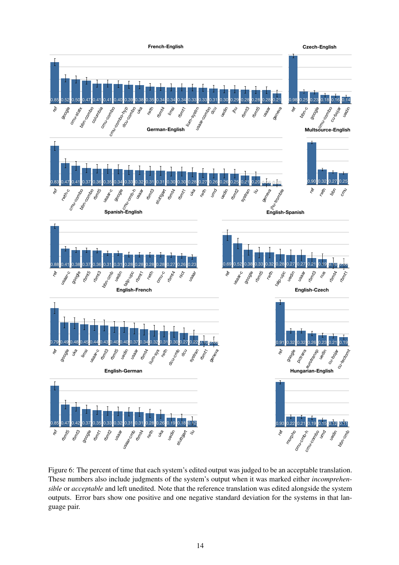

Figure 6: The percent of time that each system's edited output was judged to be an acceptable translation. These numbers also include judgments of the system's output when it was marked either *incomprehensible* or *acceptable* and left unedited. Note that the reference translation was edited alongside the system outputs. Error bars show one positive and one negative standard deviation for the systems in that language pair.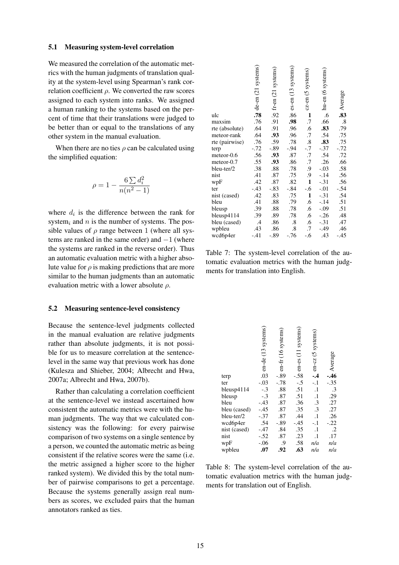#### 5.1 Measuring system-level correlation

We measured the correlation of the automatic metrics with the human judgments of translation quality at the system-level using Spearman's rank correlation coefficient  $\rho$ . We converted the raw scores assigned to each system into ranks. We assigned a human ranking to the systems based on the percent of time that their translations were judged to be better than or equal to the translations of any other system in the manual evaluation.

When there are no ties  $\rho$  can be calculated using the simplified equation:

$$
\rho = 1 - \frac{6 \sum d_i^2}{n(n^2 - 1)}
$$

where  $d_i$  is the difference between the rank for system<sub>i</sub> and n is the number of systems. The possible values of  $\rho$  range between 1 (where all systems are ranked in the same order) and  $-1$  (where the systems are ranked in the reverse order). Thus an automatic evaluation metric with a higher absolute value for  $\rho$  is making predictions that are more similar to the human judgments than an automatic evaluation metric with a lower absolute  $\rho$ .

#### 5.2 Measuring sentence-level consistency

Because the sentence-level judgments collected in the manual evaluation are relative judgments rather than absolute judgments, it is not possible for us to measure correlation at the sentencelevel in the same way that previous work has done (Kulesza and Shieber, 2004; Albrecht and Hwa, 2007a; Albrecht and Hwa, 2007b).

Rather than calculating a correlation coefficient at the sentence-level we instead ascertained how consistent the automatic metrics were with the human judgments. The way that we calculated consistency was the following: for every pairwise comparison of two systems on a single sentence by a person, we counted the automatic metric as being consistent if the relative scores were the same (i.e. the metric assigned a higher score to the higher ranked system). We divided this by the total number of pairwise comparisons to get a percentage. Because the systems generally assign real numbers as scores, we excluded pairs that the human annotators ranked as ties.

|               |                                                          |                                                          |                                                |                                   | Average                                   |
|---------------|----------------------------------------------------------|----------------------------------------------------------|------------------------------------------------|-----------------------------------|-------------------------------------------|
|               |                                                          | .86                                                      | $\mathbf{1}$                                   | .6                                | .83                                       |
|               |                                                          |                                                          | .7                                             | .66                               | $\boldsymbol{.8}$                         |
|               | .91                                                      | .96                                                      | .6                                             |                                   | .79                                       |
| .64           | .93                                                      | .96                                                      | .7                                             | .54                               | .75                                       |
| .76           | .59                                                      | .78                                                      | $\boldsymbol{.8}$                              |                                   | .75                                       |
| $-.72$        | $-.89$                                                   | $-.94$                                                   | $-.7$                                          | $-.37$                            | $-.72$                                    |
| .56           |                                                          | .87                                                      | .7                                             | .54                               | .72                                       |
| .55           | .93                                                      | .86                                                      | .7                                             | .26                               | .66                                       |
| .38           | .88                                                      |                                                          | .9                                             |                                   | .58                                       |
| .41           | .87                                                      | .75                                                      | .9                                             | $-.14$                            | .56                                       |
| .42           | .87                                                      | .82                                                      |                                                | $-.31$                            | .56                                       |
|               |                                                          | $-.84$                                                   | $-.6$                                          | $-.01$                            | $-.54$                                    |
|               | .83                                                      |                                                          | $\mathbf{1}$                                   | $-.31$                            | .54                                       |
| .41           | .88                                                      |                                                          | .6                                             | $-.14$                            | .51                                       |
| .39           | .88                                                      | .78                                                      | .6                                             | $-.09$                            | .51                                       |
| .39           | .89                                                      | .78                                                      | .6                                             | $-.26$                            | .48                                       |
| $\mathcal{A}$ | .86                                                      | $\boldsymbol{.8}$                                        | .6                                             | $-.31$                            | .47                                       |
| .43           | .86                                                      | .8                                                       | .7                                             | $-.49$                            | .46                                       |
| $-.41$        | $-.89$                                                   | $-.76$                                                   | $-.6$                                          | .43                               | $-.45$                                    |
|               | de-en (21 systems)<br>.78<br>.76<br>.64<br>$-.43$<br>.42 | $\frac{1}{2}$ fr-en (21 systems)<br>.91<br>.93<br>$-.83$ | es-en (13 systems)<br>.98<br>.78<br>.75<br>.79 | cz-en (5 systems)<br>$\mathbf{1}$ | hu-en (6 systems)<br>.83<br>.83<br>$-.03$ |

Table 7: The system-level correlation of the automatic evaluation metrics with the human judgments for translation into English.

|              | en-de (13 systems) | en-fr (16 systems) | en-es (11 systems) | en-cz (5 systems | -Average      |
|--------------|--------------------|--------------------|--------------------|------------------|---------------|
| terp         | .03                | $-.89$             | $-.58$             | $-4$             |               |
| ter          | $-.03$             | $-.78$             | $-.5$              | $-.1$            | $-.35$        |
| bleusp4114   | $-.3$              | .88                | .51                | $\cdot$          |               |
| bleusp       | $-.3$              | .87                | .51                | $\cdot$          | $.3$<br>$.29$ |
| bleu         | $-.43$             | .87                | .36                | .3               | .27           |
| bleu (cased) | $-.45$             | .87                | .35                | .3               | .27           |
| bleu-ter/2   | $-.37$             | .87                | .44                | $\cdot$          | .26           |
| wcd6p4er     | .54                | $-.89$             | $-.45$             | $-.1$            | $-.22$        |
| nist (cased) | $-.47$             | .84                | .35                | $\cdot$          | $\cdot$ .2    |
| nist         | $-.52$             | .87                | .23                | $\cdot$          | .17           |
| wpF          | $-.06$             | .9                 | .58                | n/a              | n/a           |
| wpbleu       | .07                | .92                | .63                | n/a              | n/a           |

Table 8: The system-level correlation of the automatic evaluation metrics with the human judgments for translation out of English.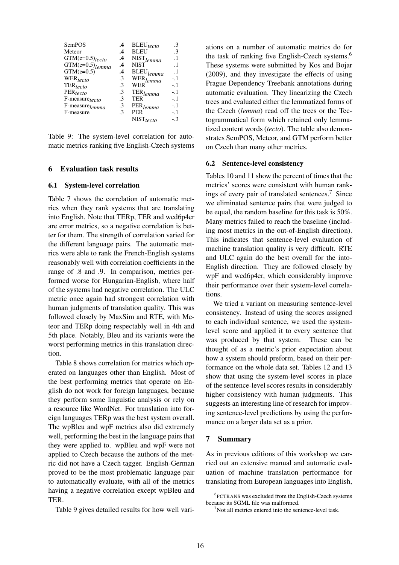| SemPOS                        | .4            | $BLEU_{tecto}$          | .3        |
|-------------------------------|---------------|-------------------------|-----------|
| Meteor                        | .4            | <b>BLEU</b>             | .3        |
| $GTM(e=0.5)$ tecto            | .4            | $NIST$ <sub>lemma</sub> | $\cdot$ 1 |
| $GTM(e=0.5)$ <sub>lemma</sub> | .4            | <b>NIST</b>             | $\cdot$ 1 |
| $GTM(e=0.5)$                  | $\cdot$       | $BLEU$ <sub>lemma</sub> | $\cdot$ 1 |
| WER <sub>tecto</sub>          | .3            | WER <sub>lemma</sub>    | $-1$      |
| $\mathrm{TER}_{tecto}$        | $\mathcal{E}$ | WER                     | $-.1$     |
| $PER_{tecto}$                 | .3            | $\mathrm{TER}_{lemma}$  | $-1$      |
| F-measure <sub>tecto</sub>    | .3            | TER                     | $-1$      |
| F-measure <sub>lemma</sub>    | .3            | PER <sub>lemma</sub>    | $-1$      |
| F-measure                     | .3            | <b>PER</b>              | $-.1$     |
|                               |               | $NIST_{tecto}$          | - 3       |

Table 9: The system-level correlation for automatic metrics ranking five English-Czech systems

#### 6 Evaluation task results

#### 6.1 System-level correlation

Table 7 shows the correlation of automatic metrics when they rank systems that are translating into English. Note that TERp, TER and wcd6p4er are error metrics, so a negative correlation is better for them. The strength of correlation varied for the different language pairs. The automatic metrics were able to rank the French-English systems reasonably well with correlation coefficients in the range of .8 and .9. In comparison, metrics performed worse for Hungarian-English, where half of the systems had negative correlation. The ULC metric once again had strongest correlation with human judgments of translation quality. This was followed closely by MaxSim and RTE, with Meteor and TERp doing respectably well in 4th and 5th place. Notably, Bleu and its variants were the worst performing metrics in this translation direction.

Table 8 shows correlation for metrics which operated on languages other than English. Most of the best performing metrics that operate on English do not work for foreign languages, because they perform some linguistic analysis or rely on a resource like WordNet. For translation into foreign languages TERp was the best system overall. The wpBleu and wpF metrics also did extremely well, performing the best in the language pairs that they were applied to. wpBleu and wpF were not applied to Czech because the authors of the metric did not have a Czech tagger. English-German proved to be the most problematic language pair to automatically evaluate, with all of the metrics having a negative correlation except wpBleu and TER.

Table 9 gives detailed results for how well vari-

ations on a number of automatic metrics do for the task of ranking five English-Czech systems.<sup>6</sup> These systems were submitted by Kos and Bojar (2009), and they investigate the effects of using Prague Dependency Treebank annotations during automatic evaluation. They linearizing the Czech trees and evaluated either the lemmatized forms of the Czech (*lemma*) read off the trees or the Tectogrammatical form which retained only lemmatized content words (*tecto*). The table also demonstrates SemPOS, Meteor, and GTM perform better on Czech than many other metrics.

#### 6.2 Sentence-level consistency

Tables 10 and 11 show the percent of times that the metrics' scores were consistent with human rankings of every pair of translated sentences.<sup>7</sup> Since we eliminated sentence pairs that were judged to be equal, the random baseline for this task is 50%. Many metrics failed to reach the baseline (including most metrics in the out-of-English direction). This indicates that sentence-level evaluation of machine translation quality is very difficult. RTE and ULC again do the best overall for the into-English direction. They are followed closely by wpF and wcd6p4er, which considerably improve their performance over their system-level correlations.

We tried a variant on measuring sentence-level consistency. Instead of using the scores assigned to each individual sentence, we used the systemlevel score and applied it to every sentence that was produced by that system. These can be thought of as a metric's prior expectation about how a system should preform, based on their performance on the whole data set. Tables 12 and 13 show that using the system-level scores in place of the sentence-level scores results in considerably higher consistency with human judgments. This suggests an interesting line of research for improving sentence-level predictions by using the performance on a larger data set as a prior.

# 7 Summary

As in previous editions of this workshop we carried out an extensive manual and automatic evaluation of machine translation performance for translating from European languages into English,

<sup>6</sup> PCTRANS was excluded from the English-Czech systems because its SGML file was malformed.

 $7$ Not all metrics entered into the sentence-level task.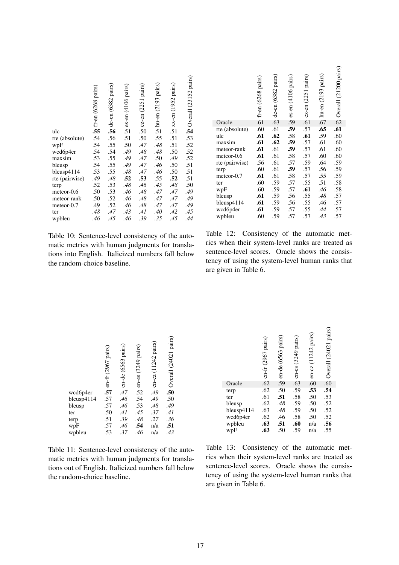|                | <b>in</b> fr-en (6268 pairs) | de-en (6382 pairs) | es-en (4106 pairs) | cz-en (2251 pairs) | hu-en (2193 pairs) | xx-en (1952 pairs) | <b>Solution</b> (23152 pairs) |
|----------------|------------------------------|--------------------|--------------------|--------------------|--------------------|--------------------|-------------------------------|
| ulc            |                              | .56                | .51                | .50                | .51                | .51                |                               |
| rte (absolute) | .54                          | .56                | .51                | .50                | .55                | .51                | .53                           |
| wpF            | .54                          | .55                | .50                | .47                | .48                | .51                | .52                           |
| wcd6p4er       | .54                          | .54                | .49                | .48                | .48                | .50                | .52                           |
| maxsim         | .53                          | .55                | .49                | .47                | .50                | .49                | .52                           |
| bleusp         | .54                          | .55                | .49                | .47                | .46                | .50                | .51                           |
| bleusp4114     | .53                          | .55                | .48                | .47                | .46                | .50                | .51                           |
| rte (pairwise) | .49                          | $.48$              | .52                | .53                | .55                | .52                | .51                           |
| terp           | .52                          | .53                | .48                | .46                | .45                | .48                | .50                           |
| meteor-0.6     | .50                          | .53                | .46                | .48                | .47                | .47                | .49                           |
| meteor-rank    | .50                          | .52                | .46                | .48                | .47                | .47                | .49                           |
| meteor-0.7     | .49                          | .52                | .46                | .48                | .47                | .47                | .49                           |
| ter            | .48                          | .47                | .43                | .41                | .40                | .42                | .45                           |
| wpbleu         | .46                          | .45                | .46                | .39                | .35                | .45                | .44                           |
|                |                              |                    |                    |                    |                    |                    |                               |

Table 10: Sentence-level consistency of the automatic metrics with human judgments for translations into English. Italicized numbers fall below the random-choice baseline.

|                | $\frac{1}{2}$ fr-en (6268 pairs) | de-en (6382 pairs) | es-en (4106 pairs) | cz-en (2251 pairs) | hu-en (2193 pairs) | Overall (21200 pairs) |
|----------------|----------------------------------|--------------------|--------------------|--------------------|--------------------|-----------------------|
| Oracle         |                                  | .63                | .59                | .61                | .67                | .62                   |
| rte (absolute) | .60                              | .61                | .59                | .57                | .65                | .61                   |
| ulc            | .61                              | .62                | .58                | .61                | .59                | .60                   |
| maxsim         | .61                              | .62                | .59                | .57                | .61                | .60                   |
| meteor-rank    | .61                              | .61                | .59                | .57                | .61                | .60                   |
| meteor-0.6     | .61                              | .61                | .58                | .57                | .60                | .60                   |
| rte (pairwise) | .56                              | .61                | .57                | .59                | .64                | .59                   |
| terp           | .60                              | .61                | .59                | .57                | .56                | .59                   |
| meteor-0.7     | .61                              | .61                | .58                | .57                | .55                | .59                   |
| ter            | .60                              | .59                | .57                | .55                | .51                | .58                   |
| wpF            | .60                              | .59                | .57                | .61                | .46                | .58                   |
| bleusp         | .61                              | .59                | .56                | .55                | .48                | .57                   |
| bleusp4114     | .61                              | .59                | .56                | .55                | .46                | .57                   |
| wcd6p4er       | .61                              | .59                | .57                | .55                | .44                | .57                   |
| wpbleu         | .60                              | .59                | .57                | .57                | .43                | .57                   |

Table 12: Consistency of the automatic metrics when their system-level ranks are treated as sentence-level scores. Oracle shows the consistency of using the system-level human ranks that are given in Table 6.

|            | en-fr (2967 pairs) | en-de (6563 pairs) | en-es (3249 pairs) | en-cz (11242 pairs) | Overall (24021 pairs)   |
|------------|--------------------|--------------------|--------------------|---------------------|-------------------------|
| wcd6p4er   | .57                | .47                | .52                | .49                 | $.50$<br>$.50$<br>$.49$ |
| bleusp4114 | .57                | .46                | .54                | .49                 |                         |
| bleusp     | .57                | .46                | .53                | .48                 |                         |
| ter        | .50                | .41                | .45                | .37                 | .41                     |
| terp       | .51                | .39                | .48                | .27                 | .36                     |
| wpF        | .57                | .46                | .54                | n/a                 | $\overline{.51}$        |
| wpbleu     | .53                | .37                | .46                | n/a                 | .43                     |

Table 11: Sentence-level consistency of the automatic metrics with human judgments for translations out of English. Italicized numbers fall below the random-choice baseline.

|            | en-fr (2967 pairs) | en-de (6563 pairs) | en-es (3249 pairs) | en-cz (11242 pairs) | Overall (24021 pairs) |
|------------|--------------------|--------------------|--------------------|---------------------|-----------------------|
| Oracle     | .62                | .59                | .63                | .60                 | .60                   |
| terp       | .62                | .50                | .59                | .53                 | .54                   |
| ter        | .61                | .51                | .58<br>.59         | .50<br>.50          | .53.52                |
| bleusp     | .62                | $.48$              |                    |                     |                       |
| bleusp4114 | .63                | .48                | .59                | .50                 | .52                   |
| wcd6p4er   | .62                | .46                | .58                | .50                 | $.52$<br>$.56$        |
| wpbleu     | .63                | .51                | .60                | n/a                 |                       |
| wpF        | .63                | .50                | .59                | n/a                 | .55                   |

Table 13: Consistency of the automatic metrics when their system-level ranks are treated as sentence-level scores. Oracle shows the consistency of using the system-level human ranks that are given in Table 6.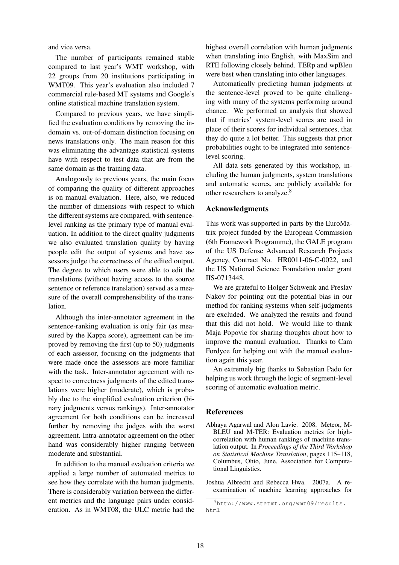and vice versa.

The number of participants remained stable compared to last year's WMT workshop, with 22 groups from 20 institutions participating in WMT09. This year's evaluation also included 7 commercial rule-based MT systems and Google's online statistical machine translation system.

Compared to previous years, we have simplified the evaluation conditions by removing the indomain vs. out-of-domain distinction focusing on news translations only. The main reason for this was eliminating the advantage statistical systems have with respect to test data that are from the same domain as the training data.

Analogously to previous years, the main focus of comparing the quality of different approaches is on manual evaluation. Here, also, we reduced the number of dimensions with respect to which the different systems are compared, with sentencelevel ranking as the primary type of manual evaluation. In addition to the direct quality judgments we also evaluated translation quality by having people edit the output of systems and have assessors judge the correctness of the edited output. The degree to which users were able to edit the translations (without having access to the source sentence or reference translation) served as a measure of the overall comprehensibility of the translation.

Although the inter-annotator agreement in the sentence-ranking evaluation is only fair (as measured by the Kappa score), agreement can be improved by removing the first (up to 50) judgments of each assessor, focusing on the judgments that were made once the assessors are more familiar with the task. Inter-annotator agreement with respect to correctness judgments of the edited translations were higher (moderate), which is probably due to the simplified evaluation criterion (binary judgments versus rankings). Inter-annotator agreement for both conditions can be increased further by removing the judges with the worst agreement. Intra-annotator agreement on the other hand was considerably higher ranging between moderate and substantial.

In addition to the manual evaluation criteria we applied a large number of automated metrics to see how they correlate with the human judgments. There is considerably variation between the different metrics and the language pairs under consideration. As in WMT08, the ULC metric had the highest overall correlation with human judgments when translating into English, with MaxSim and RTE following closely behind. TERp and wpBleu were best when translating into other languages.

Automatically predicting human judgments at the sentence-level proved to be quite challenging with many of the systems performing around chance. We performed an analysis that showed that if metrics' system-level scores are used in place of their scores for individual sentences, that they do quite a lot better. This suggests that prior probabilities ought to be integrated into sentencelevel scoring.

All data sets generated by this workshop, including the human judgments, system translations and automatic scores, are publicly available for other researchers to analyze.<sup>8</sup>

# Acknowledgments

This work was supported in parts by the EuroMatrix project funded by the European Commission (6th Framework Programme), the GALE program of the US Defense Advanced Research Projects Agency, Contract No. HR0011-06-C-0022, and the US National Science Foundation under grant IIS-0713448.

We are grateful to Holger Schwenk and Preslav Nakov for pointing out the potential bias in our method for ranking systems when self-judgments are excluded. We analyzed the results and found that this did not hold. We would like to thank Maja Popovic for sharing thoughts about how to improve the manual evaluation. Thanks to Cam Fordyce for helping out with the manual evaluation again this year.

An extremely big thanks to Sebastian Pado for helping us work through the logic of segment-level scoring of automatic evaluation metric.

# **References**

- Abhaya Agarwal and Alon Lavie. 2008. Meteor, M-BLEU and M-TER: Evaluation metrics for highcorrelation with human rankings of machine translation output. In *Proceedings of the Third Workshop on Statistical Machine Translation*, pages 115–118, Columbus, Ohio, June. Association for Computational Linguistics.
- Joshua Albrecht and Rebecca Hwa. 2007a. A reexamination of machine learning approaches for

<sup>8</sup>http://www.statmt.org/wmt09/results. html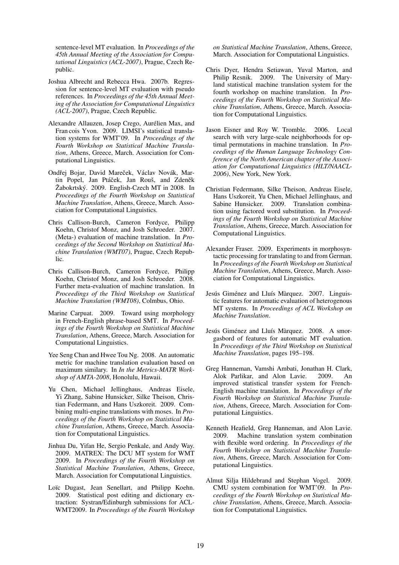sentence-level MT evaluation. In *Proceedings of the 45th Annual Meeting of the Association for Computational Linguistics (ACL-2007)*, Prague, Czech Republic.

- Joshua Albrecht and Rebecca Hwa. 2007b. Regression for sentence-level MT evaluation with pseudo references. In *Proceedings of the 45th Annual Meeting of the Association for Computational Linguistics (ACL-2007)*, Prague, Czech Republic.
- Alexandre Allauzen, Josep Crego, Aurelien Max, and ´ Fran cois Yvon. 2009. LIMSI's statistical translation systems for WMT'09. In *Proceedings of the Fourth Workshop on Statistical Machine Translation*, Athens, Greece, March. Association for Computational Linguistics.
- Ondřej Bojar, David Mareček, Václav Novák, Martin Popel, Jan Ptáček, Jan Rouš, and Zdeněk Žabokrtský. 2009. English-Czech MT in 2008. In *Proceedings of the Fourth Workshop on Statistical Machine Translation*, Athens, Greece, March. Association for Computational Linguistics.
- Chris Callison-Burch, Cameron Fordyce, Philipp Koehn, Christof Monz, and Josh Schroeder. 2007. (Meta-) evaluation of machine translation. In *Proceedings of the Second Workshop on Statistical Machine Translation (WMT07)*, Prague, Czech Republic.
- Chris Callison-Burch, Cameron Fordyce, Philipp Koehn, Christof Monz, and Josh Schroeder. 2008. Further meta-evaluation of machine translation. In *Proceedings of the Third Workshop on Statistical Machine Translation (WMT08)*, Colmbus, Ohio.
- Marine Carpuat. 2009. Toward using morphology in French-English phrase-based SMT. In *Proceedings of the Fourth Workshop on Statistical Machine Translation*, Athens, Greece, March. Association for Computational Linguistics.
- Yee Seng Chan and Hwee Tou Ng. 2008. An automatic metric for machine translation evaluation based on maximum similary. In *In the Metrics-MATR Workshop of AMTA-2008*, Honolulu, Hawaii.
- Yu Chen, Michael Jellinghaus, Andreas Eisele, Yi Zhang, Sabine Hunsicker, Silke Theison, Christian Federmann, and Hans Uszkoreit. 2009. Combining multi-engine translations with moses. In *Proceedings of the Fourth Workshop on Statistical Machine Translation*, Athens, Greece, March. Association for Computational Linguistics.
- Jinhua Du, Yifan He, Sergio Penkale, and Andy Way. 2009. MATREX: The DCU MT system for WMT 2009. In *Proceedings of the Fourth Workshop on Statistical Machine Translation*, Athens, Greece, March. Association for Computational Linguistics.
- Loïc Dugast, Jean Senellart, and Philipp Koehn. 2009. Statistical post editing and dictionary extraction: Systran/Edinburgh submissions for ACL-WMT2009. In *Proceedings of the Fourth Workshop*

*on Statistical Machine Translation*, Athens, Greece, March. Association for Computational Linguistics.

- Chris Dyer, Hendra Setiawan, Yuval Marton, and Philip Resnik. 2009. The University of Maryland statistical machine translation system for the fourth workshop on machine translation. In *Proceedings of the Fourth Workshop on Statistical Machine Translation*, Athens, Greece, March. Association for Computational Linguistics.
- Jason Eisner and Roy W. Tromble. 2006. Local search with very large-scale neighborhoods for optimal permutations in machine translation. In *Proceedings of the Human Language Technology Conference of the North American chapter of the Association for Computational Linguistics (HLT/NAACL-2006)*, New York, New York.
- Christian Federmann, Silke Theison, Andreas Eisele, Hans Uszkoreit, Yu Chen, Michael Jellinghaus, and Sabine Hunsicker. 2009. Translation combination using factored word substitution. In *Proceedings of the Fourth Workshop on Statistical Machine Translation*, Athens, Greece, March. Association for Computational Linguistics.
- Alexander Fraser. 2009. Experiments in morphosyntactic processing for translating to and from German. In *Proceedings of the Fourth Workshop on Statistical Machine Translation*, Athens, Greece, March. Association for Computational Linguistics.
- Jesús Giménez and Lluís Màrquez. 2007. Linguistic features for automatic evaluation of heterogenous MT systems. In *Proceedings of ACL Workshop on Machine Translation*.
- Jesús Giménez and Lluís Màrquez. 2008. A smorgasbord of features for automatic MT evaluation. In *Proceedings of the Third Workshop on Statistical Machine Translation*, pages 195–198.
- Greg Hanneman, Vamshi Ambati, Jonathan H. Clark, Alok Parlikar, and Alon Lavie. 2009. An improved statistical transfer system for French-English machine translation. In *Proceedings of the Fourth Workshop on Statistical Machine Translation*, Athens, Greece, March. Association for Computational Linguistics.
- Kenneth Heafield, Greg Hanneman, and Alon Lavie. 2009. Machine translation system combination with flexible word ordering. In *Proceedings of the Fourth Workshop on Statistical Machine Translation*, Athens, Greece, March. Association for Computational Linguistics.
- Almut Silja Hildebrand and Stephan Vogel. 2009. CMU system combination for WMT'09. In *Proceedings of the Fourth Workshop on Statistical Machine Translation*, Athens, Greece, March. Association for Computational Linguistics.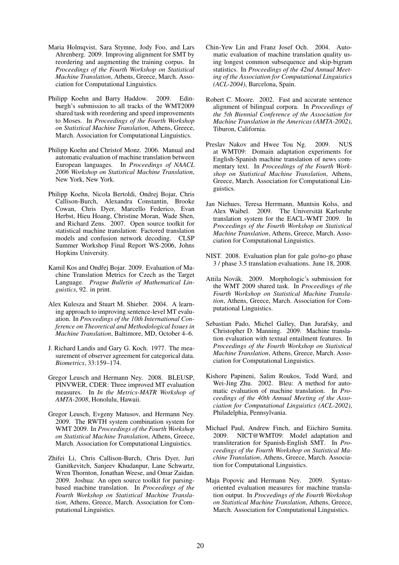- Maria Holmqvist, Sara Stymne, Jody Foo, and Lars Ahrenberg. 2009. Improving alignment for SMT by reordering and augmenting the training corpus. In *Proceedings of the Fourth Workshop on Statistical Machine Translation*, Athens, Greece, March. Association for Computational Linguistics.
- Philipp Koehn and Barry Haddow. 2009. Edinburgh's submission to all tracks of the WMT2009 shared task with reordering and speed improvements to Moses. In *Proceedings of the Fourth Workshop on Statistical Machine Translation*, Athens, Greece, March. Association for Computational Linguistics.
- Philipp Koehn and Christof Monz. 2006. Manual and automatic evaluation of machine translation between European languages. In *Proceedings of NAACL 2006 Workshop on Statistical Machine Translation*, New York, New York.
- Philipp Koehn, Nicola Bertoldi, Ondrej Bojar, Chris Callison-Burch, Alexandra Constantin, Brooke Cowan, Chris Dyer, Marcello Federico, Evan Herbst, Hieu Hoang, Christine Moran, Wade Shen, and Richard Zens. 2007. Open source toolkit for statistical machine translation: Factored translation models and confusion network decoding. CLSP Summer Workshop Final Report WS-2006, Johns Hopkins University.
- Kamil Kos and Ondřej Bojar. 2009. Evaluation of Machine Translation Metrics for Czech as the Target Language. *Prague Bulletin of Mathematical Linguistics*, 92. in print.
- Alex Kulesza and Stuart M. Shieber. 2004. A learning approach to improving sentence-level MT evaluation. In *Proceedings of the 10th International Conference on Theoretical and Methodological Issues in Machine Translation*, Baltimore, MD, October 4–6.
- J. Richard Landis and Gary G. Koch. 1977. The measurement of observer agreement for categorical data. *Biometrics*, 33:159–174.
- Gregor Leusch and Hermann Ney. 2008. BLEUSP, PINVWER, CDER: Three improved MT evaluation measures. In *In the Metrics-MATR Workshop of AMTA-2008*, Honolulu, Hawaii.
- Gregor Leusch, Evgeny Matusov, and Hermann Ney. 2009. The RWTH system combination system for WMT 2009. In *Proceedings of the Fourth Workshop on Statistical Machine Translation*, Athens, Greece, March. Association for Computational Linguistics.
- Zhifei Li, Chris Callison-Burch, Chris Dyer, Juri Ganitkevitch, Sanjeev Khudanpur, Lane Schwartz, Wren Thornton, Jonathan Weese, and Omar Zaidan. 2009. Joshua: An open source toolkit for parsingbased machine translation. In *Proceedings of the Fourth Workshop on Statistical Machine Translation*, Athens, Greece, March. Association for Computational Linguistics.
- Chin-Yew Lin and Franz Josef Och. 2004. Automatic evaluation of machine translation quality using longest common subsequence and skip-bigram statistics. In *Proceedings of the 42nd Annual Meeting of the Association for Computational Linguistics (ACL-2004)*, Barcelona, Spain.
- Robert C. Moore. 2002. Fast and accurate sentence alignment of bilingual corpora. In *Proceedings of the 5th Biennial Conference of the Association for Machine Translation in the Americas (AMTA-2002)*, Tiburon, California.
- Preslav Nakov and Hwee Tou Ng. 2009. NUS at WMT09: Domain adaptation experiments for English-Spanish machine translation of news commentary text. In *Proceedings of the Fourth Workshop on Statistical Machine Translation*, Athens, Greece, March. Association for Computational Linguistics.
- Jan Niehues, Teresa Herrmann, Muntsin Kolss, and Alex Waibel. 2009. The Universität Karlsruhe translation system for the EACL-WMT 2009. In *Proceedings of the Fourth Workshop on Statistical Machine Translation*, Athens, Greece, March. Association for Computational Linguistics.
- NIST. 2008. Evaluation plan for gale go/no-go phase 3 / phase 3.5 translation evaluations. June 18, 2008.
- Attila Novák. 2009. Morphologic's submission for the WMT 2009 shared task. In *Proceedings of the Fourth Workshop on Statistical Machine Translation*, Athens, Greece, March. Association for Computational Linguistics.
- Sebastian Pado, Michel Galley, Dan Jurafsky, and Christopher D. Manning. 2009. Machine translation evaluation with textual entailment features. In *Proceedings of the Fourth Workshop on Statistical Machine Translation*, Athens, Greece, March. Association for Computational Linguistics.
- Kishore Papineni, Salim Roukos, Todd Ward, and Wei-Jing Zhu. 2002. Bleu: A method for automatic evaluation of machine translation. In *Proceedings of the 40th Annual Meeting of the Association for Computational Linguistics (ACL-2002)*, Philadelphia, Pennsylvania.
- Michael Paul, Andrew Finch, and Eiichiro Sumita. 2009. NICT@WMT09: Model adaptation and transliteration for Spanish-English SMT. In *Proceedings of the Fourth Workshop on Statistical Machine Translation*, Athens, Greece, March. Association for Computational Linguistics.
- Maja Popovic and Hermann Ney. 2009. Syntaxoriented evaluation measures for machine translation output. In *Proceedings of the Fourth Workshop on Statistical Machine Translation*, Athens, Greece, March. Association for Computational Linguistics.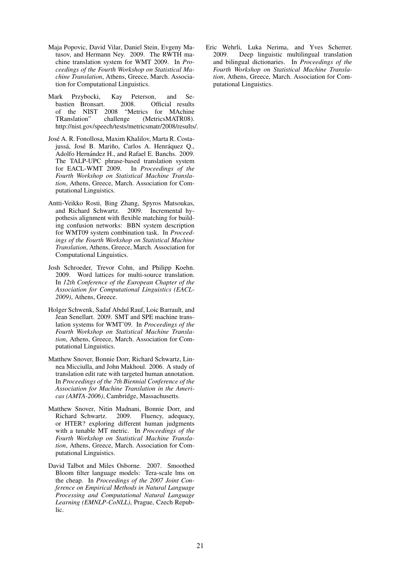- Maja Popovic, David Vilar, Daniel Stein, Evgeny Matusov, and Hermann Ney. 2009. The RWTH machine translation system for WMT 2009. In *Proceedings of the Fourth Workshop on Statistical Machine Translation*, Athens, Greece, March. Association for Computational Linguistics.
- Mark Przybocki, Kay Peterson, and Sebastien Bronsart of the NIST 2008 "Metrics for MAchine TRanslation" challenge (MetricsMATR08). TRanslation" challenge (MetricsMATR08). http://nist.gov/speech/tests/metricsmatr/2008/results/.
- Jose A. R. Fonollosa, Maxim Khalilov, Marta R. Costa- ´ jussá, José B. Mariño, Carlos A. Henráquez Q., Adolfo Hernández H., and Rafael E. Banchs. 2009. The TALP-UPC phrase-based translation system for EACL-WMT 2009. In *Proceedings of the Fourth Workshop on Statistical Machine Translation*, Athens, Greece, March. Association for Computational Linguistics.
- Antti-Veikko Rosti, Bing Zhang, Spyros Matsoukas, and Richard Schwartz. 2009. Incremental hypothesis alignment with flexible matching for building confusion networks: BBN system description for WMT09 system combination task. In *Proceedings of the Fourth Workshop on Statistical Machine Translation*, Athens, Greece, March. Association for Computational Linguistics.
- Josh Schroeder, Trevor Cohn, and Philipp Koehn. 2009. Word lattices for multi-source translation. In *12th Conference of the European Chapter of the Association for Computational Linguistics (EACL-2009)*, Athens, Greece.
- Holger Schwenk, Sadaf Abdul Rauf, Loic Barrault, and Jean Senellart. 2009. SMT and SPE machine translation systems for WMT'09. In *Proceedings of the Fourth Workshop on Statistical Machine Translation*, Athens, Greece, March. Association for Computational Linguistics.
- Matthew Snover, Bonnie Dorr, Richard Schwartz, Linnea Micciulla, and John Makhoul. 2006. A study of translation edit rate with targeted human annotation. In *Proceedings of the 7th Biennial Conference of the Association for Machine Translation in the Americas (AMTA-2006)*, Cambridge, Massachusetts.
- Matthew Snover, Nitin Madnani, Bonnie Dorr, and Richard Schwartz. 2009. Fluency, adequacy, or HTER? exploring different human judgments with a tunable MT metric. In *Proceedings of the Fourth Workshop on Statistical Machine Translation*, Athens, Greece, March. Association for Computational Linguistics.
- David Talbot and Miles Osborne. 2007. Smoothed Bloom filter language models: Tera-scale lms on the cheap. In *Proceedings of the 2007 Joint Conference on Empirical Methods in Natural Language Processing and Computational Natural Language Learning (EMNLP-CoNLL)*, Prague, Czech Republic.

Eric Wehrli, Luka Nerima, and Yves Scherrer. 2009. Deep linguistic multilingual translation and bilingual dictionaries. In *Proceedings of the Fourth Workshop on Statistical Machine Translation*, Athens, Greece, March. Association for Computational Linguistics.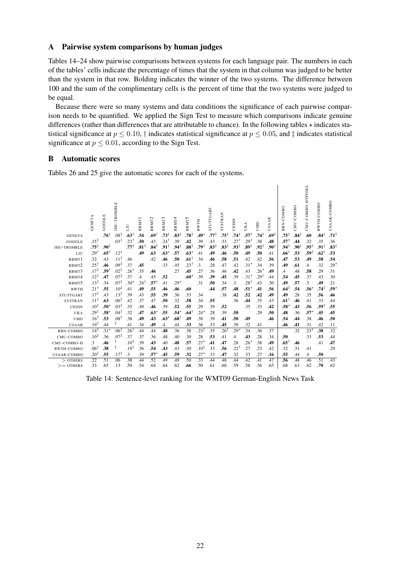# A Pairwise system comparisons by human judges

Tables 14–24 show pairwise comparisons between systems for each language pair. The numbers in each of the tables' cells indicate the percentage of times that the system in that column was judged to be better than the system in that row. Bolding indicates the winner of the two systems. The difference between 100 and the sum of the complimentary cells is the percent of time that the two systems were judged to be equal.

Because there were so many systems and data conditions the significance of each pairwise comparison needs to be quantified. We applied the Sign Test to measure which comparisons indicate genuine differences (rather than differences that are attributable to chance). In the following tables  $\star$  indicates statistical significance at  $p \le 0.10$ ,  $\dagger$  indicates statistical significance at  $p \le 0.05$ , and  $\dagger$  indicates statistical significance at  $p \leq 0.01$ , according to the Sign Test.

# B Automatic scores

Tables 26 and 25 give the automatic scores for each of the systems.

|                       | GENEVA           | GOOGLE           | <b>IHU-TROMBLE</b>                   | ЛЛ                                 | RBMT <sup>1</sup>       | RBMT <sub>2</sub>       | RBMT3                               | RBMT <sup>4</sup>       | RBMT5                   | <b>RWTH</b>      | STUTTGART               | <b>SYSTRAN</b>          | UEDIN                      | UKA                        | UMD                     | AAR<br>S.        | -COMBO<br>BBN.             | CMU-COMBO               | CMU-COMBO-HYPOSEL       | RWTH-COMBO              | AAR-COMBO<br>S.         |
|-----------------------|------------------|------------------|--------------------------------------|------------------------------------|-------------------------|-------------------------|-------------------------------------|-------------------------|-------------------------|------------------|-------------------------|-------------------------|----------------------------|----------------------------|-------------------------|------------------|----------------------------|-------------------------|-------------------------|-------------------------|-------------------------|
| <b>GENEVA</b>         | $.15^{\ddagger}$ | $.76^{\ddagger}$ | $.08^{\ddagger}$<br>$.03^{\ddagger}$ | $.63^{\dagger}$<br>$.23^{\dagger}$ | .54                     | .69†                    | $.73^+$                             | $.83^{\ddagger}$        | $.78^{\ddagger}$<br>.42 | $.49*$           | .77‡                    | $.75^{\ddagger}$        | .74‡                       | $.57^{\dagger}$            | .74‡                    | $.69^{\ddagger}$ | .75‡                       | $.84^{\ddagger}$        | .60                     | $.84^{\ddagger}$        | $.71^{\ddagger}$        |
| GOOGLE<br>JHU-TROMBLE | $.75^{\ddagger}$ | $.90^{\ddagger}$ |                                      | $.77^{\ddagger}$                   | .50<br>$.81^{\ddagger}$ | .43<br>$.84^{\ddagger}$ | $.24^{\dagger}$<br>$.91^{\ddagger}$ | .39<br>$.94^{\ddagger}$ | $.88^{\ddagger}$        | .39<br>.79‡      | .43<br>$.83^{\ddagger}$ | .33<br>$.83^{\ddagger}$ | $.27*$<br>$.93^{\ddagger}$ | $.29*$<br>$.89^{\ddagger}$ | .38<br>$.92^{\ddagger}$ | .48<br>.90‡      | $.57*$<br>$.94^{\ddagger}$ | .44<br>$.90^{\ddagger}$ | .32<br>$.95^{\ddagger}$ | .35<br>$.91^{\ddagger}$ | .36<br>$.83^{\ddagger}$ |
| LIU                   | $.29^{\dagger}$  | $.65^{\dagger}$  | $.12^{\ddagger}$                     |                                    | .49                     | .63                     | $.63*$                              | .57                     | $.63*$                  | .41              | .49                     | .46                     | .50                        | .49                        | .50                     | .41              | .66                        | .53                     | $.59^{\ddagger}$        | $.62^{\dagger}$         | .53                     |
| RBMT1                 | .32              | .43              | $.11^{\ddagger}$                     | .46                                |                         | .42                     | .46                                 | .50                     | $.61^{\dagger}$         | .34              | .46                     | .58                     | .51                        | .42                        | .42                     | .56              | .47                        | .53                     | .49                     | .58                     | .54                     |
| RBMT <sub>2</sub>     | $.25^{\dagger}$  | .46              | $.09^{\ddagger}$                     | .37                                | .45                     |                         | .33                                 | .45                     | $.23^{\dagger}$         | $\cdot$ 3        | .28                     | .47                     | .42                        | $.31*$                     | .34                     | .39              | .49                        | .61                     | $\mathcal{A}$           | .32                     | $.29*$                  |
| RBMT3                 | $.17^{\ddagger}$ | 59†.             | $.02^{\ddagger}$                     | $.26*$                             | .35                     | .46                     |                                     | .27                     | .45                     | .27              | .36                     | .46                     | .42                        | .43                        | $.26*$                  | .49              | .4                         | .48                     | .58                     | .29                     | .31                     |
| RBMT4                 | $.12^{\ddagger}$ | .47              | $.07^{\ddagger}$                     | .37                                | $\overline{A}$          | .45                     | .52                                 |                         | $.60*$                  | .39              | .39                     | .45                     | .39                        | $.31*$                     | 291.                    | .44              | .54                        | .45                     | .37                     | .43                     | .30                     |
| RBMT5                 | $.13^{\ddagger}$ | .34              | $.07^{\ddagger}$                     | $.30*$                             | $.24^{\dagger}$         | .57†                    | .41                                 | $.29*$                  |                         | .31              | .50                     | .34                     | .3                         | 281.                       | .43                     | .30              | .49                        | .57                     | $\cdot$ 3               | .49                     | .21                     |
| <b>RWTH</b>           | $.21*$           | .55              | $.10^{\ddagger}$                     | .41                                | .49                     | .55                     | .46                                 | .46                     | .60                     |                  | .44                     | .57                     | .48                        | $.51*$                     | .41                     | .56              | .64                        | .54                     | $.56^{\star}$           | $.74^{\ddagger}$        | $.59^{\circ}$           |
| <b>STUTTGART</b>      | $.17^{\ddagger}$ | .43              | $.13^{\ddagger}$                     | .39                                | .43                     | .55                     | .39                                 | .36                     | .33                     | .34              |                         | .38                     | .42                        | .52                        | .42                     | .49              | .49                        | .28                     | .35                     | .56                     | .46                     |
| <b>SYSTRAN</b>        | $.11^{\ddagger}$ | .63              | $.06^{\ddagger}$                     | .42                                | .37                     | .47                     | .50                                 | .32                     | .58                     | .34              | .55                     |                         | .36                        | .44                        | .35                     | .43              | .61†                       | .46                     | .41                     | .33                     | .44                     |
| <b>UEDIN</b>          | $.10^{\ddagger}$ | $.50^{\star}$    | $.03^{\ddagger}$                     | .35                                | .49                     | .46                     | .39                                 | .52                     | .55                     | .29              | .39                     | .52                     |                            | .35                        | .33                     | .42              | .58*                       | .43                     | .56                     | .59                     | .55                     |
| UKA                   | $.29^{\dagger}$  | $.58*$           | $.04^{\ddagger}$                     | .32                                | .47                     | $.63*$                  | .55                                 | $.54*$                  | .64†                    | $.24*$           | .28                     | .39                     | .50                        |                            | .29                     | .50              | .48                        | .36                     | $.57*$                  | .45                     | .45                     |
| <b>UMD</b>            | $.16^{\ddagger}$ | .53              | $.08^{\ddagger}$                     | .38                                | .49                     | .43                     | $.63*$                              | $.68^{\dagger}$         | .49                     | .38              | .39                     | .41                     | .50                        | .49                        |                         | .46              | .54                        | .44                     | .38                     | .46                     | .50                     |
| <b>USAAR</b>          | $.19^{\ddagger}$ | .44              | ŧ                                    | .41                                | .34                     | .49                     | .4                                  | .44                     | .33                     | .36              | .33                     | .45                     | .39                        | .32                        | .41                     |                  | .46                        | .41                     | .31                     | .42                     | .11                     |
| <b>BBN-COMBO</b>      | $.14^{\ddagger}$ | $.31*$           | $.06^{\ddagger}$                     | $.26^{\dagger}$                    | .44                     | .44                     | .48                                 | .36                     | .38                     | $.23^{\ddagger}$ | .35                     | $.26^{\dagger}$         | $.29*$                     | .34                        | .36                     | .37              |                            | .32                     | $.23^{\dagger}$         | .38                     | .32                     |
| CMU-COMBO             | $.10^{\ddagger}$ | .36              | $.07^{\ddagger}$                     | .37                                | .37                     | .36                     | .48                                 | .40                     | .30                     | .28              | .53                     | .41                     | $\cdot$ 4                  | .43                        | .28                     | .34              | .50                        |                         | .33                     | .53                     | .44                     |
| CMU-COMBO-H           | 3                | .46              | ŧ                                    | $.10^{1}$                          | .39                     | .43                     | .40                                 | .48                     | .57                     | $.27*$           | .41                     | .47                     | .28                        | $.26*$                     | .38                     | .49              | .651                       | .46                     |                         | .41                     | .47                     |
| RWTH-COMBO            | $.06^{\ddagger}$ | .38              | ŧ                                    | $.19^{\dagger}$                    | .36                     | .54                     | .43                                 | .43                     | .30                     | $.10^{1}$        | .33                     | .56                     | $.22^{\dagger}$            | .27                        | .23                     | .42              | .32                        | .31                     | .41                     |                         | .29                     |
| <b>USAAR-COMBO</b>    | $.20^{\ddagger}$ | .55              | $.17^{\ddagger}$                     | $\cdot$ 3                          | .39                     | .57                     | .45                                 | .59                     | .32                     | $.27*$           | .33                     | .47                     | .32                        | .33                        | .27                     | .16              | .55                        | .44                     | $\mathcal{A}$           | .50                     |                         |
| $>$ OTHERS            | $\overline{22}$  | $\overline{.51}$ | .06                                  | .38                                | .44                     | .52                     | .49                                 | .49                     | .50                     | .33              | .44                     | .48                     | .44                        | .42                        | .41                     | .47              | .56                        | .48                     | .46                     | $\overline{.51}$        | .43                     |
| $>=$ OTHERS           | .33              | .65              | .13                                  | .50                                | .54                     | .64                     | .64                                 | .62                     | .66                     | .50              | .61                     | .60                     | .59                        | .58                        | .56                     | .65              | .68                        | .63                     | .62                     | .70                     | .62                     |

Table 14: Sentence-level ranking for the WMT09 German-English News Task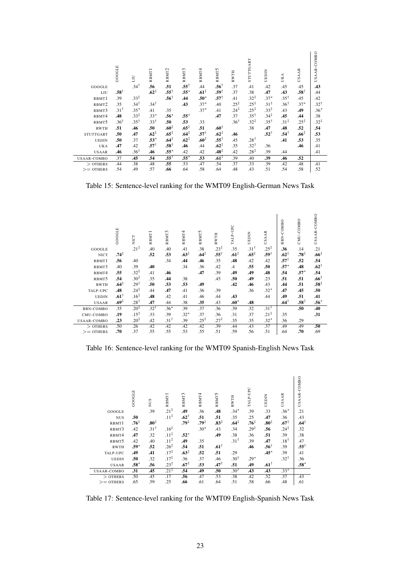|                    | GOOGLE          | Γn               | RBMT <sub>1</sub> | RBMT <sub>2</sub> | RBMT3            | RBMT4            | RBMT5            | <b>RWTH</b>      | STUTTGART        | UEDIN            | UKA              | <b>USAAR</b>     | USAAR-COMBO      |
|--------------------|-----------------|------------------|-------------------|-------------------|------------------|------------------|------------------|------------------|------------------|------------------|------------------|------------------|------------------|
| GOOGLE             |                 | $.34^{\dagger}$  | .56               | .51               | $.55^{\dagger}$  | .44              | $.56^{\dagger}$  | .37              | .41              | .42              | .45              | .45              | .43              |
| LIU                | $.58^{\dagger}$ |                  | $.62^{\ddagger}$  | $.55^{\dagger}$   | $.55*$           | $.61^{\ddagger}$ | $.59^{\dagger}$  | .37              | .38              | .47              | .43              | $.58^{\dagger}$  | .44              |
| RBMT1              | .39             | $.33^{\ddagger}$ |                   | $.56^{\dagger}$   | .44              | $.50*$           | $.57^{\dagger}$  | .41              | $.32^{\ddagger}$ | $.37*$           | $.35^{\dagger}$  | .45              | .42              |
| RBMT2              | .35             | $.34^{\dagger}$  | $.34^{\dagger}$   |                   | .43              | $.37*$           | .40              | $.25^{\ddagger}$ | $.25^{\ddagger}$ | $.31^{\ddagger}$ | $.36^{\dagger}$  | $.37*$           | $.32^{\dagger}$  |
| RBMT3              | $.31^{\dagger}$ | $.35*$           | .41               | .35               |                  | $.37*$           | .41              | $.24^{\ddagger}$ | $.25^{\ddagger}$ | $.33^{\ddagger}$ | .43              | .49              | $.36*$           |
| RBMT4              | .48             | $.33^{\ddagger}$ | $.33*$            | $.56*$            | $.55*$           |                  | .47              | .37              | $.35^{\dagger}$  | $.34^{\ddagger}$ | .45              | .44              | .38              |
| RBMT5              | $.36^{\dagger}$ | $.35^{\dagger}$  | $.33^{\dagger}$   | .50               | .53              | .33              |                  | $.36^{\dagger}$  | $.32^{\ddagger}$ | $.35^{\dagger}$  | $.31^{\ddagger}$ | $.25^{\ddagger}$ | $.32^{\ddagger}$ |
| <b>RWTH</b>        | .51             | .46              | .50               | .60 <sup>‡</sup>  | $.65^{\ddagger}$ | .51              | $.60^{\dagger}$  |                  | .38              | .47              | .48              | .52              | .54              |
| <b>STUTTGART</b>   | .50             | .47              | $.62^{\ddagger}$  | $.65^{\ddagger}$  | .64 <sup>†</sup> | $.57^+$          | $.62^{\ddagger}$ | .46              |                  | $.52^{\dagger}$  | $.54^{\dagger}$  | $.66^{\ddagger}$ | .53              |
| <b>UEDIN</b>       | .50             | .37              | $.53*$            | $.64^{\ddagger}$  | $.62^{\ddagger}$ | $.60^{\ddagger}$ | $.55^{\dagger}$  | .45              | $.28^{\dagger}$  |                  | .41              | .53              | .35              |
| UKA                | .47             | .42              | $.57^{\dagger}$   | $.58^{\dagger}$   | .46              | .44              | $.62^{\ddagger}$ | .35              | $.32^{\dagger}$  | .36              |                  | .46              | .41              |
| <b>USAAR</b>       | .46             | $.36^{\dagger}$  | .46               | $.55*$            | .42              | .42              | $.48^{\ddagger}$ | .42              | $.28^{\ddagger}$ | .39              | .44              |                  | .41              |
| <b>USAAR-COMBO</b> | .37             | .45              | .54               | $.55^{\dagger}$   | $.55*$           | .53              | $.61^{\ddagger}$ | .39              | .40              | .39              | .46              | .52              |                  |
| $>$ OTHERS         | .44             | .38              | .48               | .55               | .53              | .47              | .54              | .37              | .33              | .39              | .42              | .48              | .41              |
| $>=$ OTHERS        | .54             | .49              | .57               | .66               | .64              | .58              | .64              | .48              | .43              | .51              | .54              | .58              | .52              |

Table 15: Sentence-level ranking for the WMT09 English-German News Task

|              | GOOGLE           | NICT             | RBMT1           | RBMT3           | RBMT4            | RBMT5            | <b>RWTH</b>      | TALP-UPC         | UEDIN            | <b>USAAR</b>     | COMBO<br>BBN-   | CMU-COMBO        | USAAR-COMBO      |
|--------------|------------------|------------------|-----------------|-----------------|------------------|------------------|------------------|------------------|------------------|------------------|-----------------|------------------|------------------|
| GOOGLE       |                  | $.21^{\ddagger}$ | .40             | .40             | .41              | .38              | $.23^{\ddagger}$ | .35              | $.31^{\dagger}$  | $.25^{\ddagger}$ | .36             | .14              | .21              |
| <b>NICT</b>  | $.74^{\ddagger}$ |                  | .52             | .53             | $.63^{\ddagger}$ | .64 <sup>†</sup> | $.55^{\dagger}$  | $.61^{\ddagger}$ | $.65^{\ddagger}$ | $.59^{\dagger}$  | $.62^{+}$       | $.78^{\ddagger}$ | $.66^{\ddagger}$ |
| RBMT1        | .56              | .40              |                 | .34             | .44              | .46              | .35              | .48              | .42              | .42              | .57†            | .52              | .54              |
| RBMT3        | .40              | .39              | .40             |                 | .34              | .36              | .42              | $\mathcal{A}$    | .55              | .50              | $.57*$          | .48              | $.62^+$          |
| RBMT4        | .55              | $.32^{\ddagger}$ | .41             | .46             |                  | .47              | .39              | .49              | .49              | .48              | .54             | $.57*$           | .54              |
| RBMT5        | .54              | $.30^{\ddagger}$ | .35             | .44             | .38              |                  | .45              | .50              | .49              | .23              | .51             | .51              | $.66^{\ddagger}$ |
| <b>RWTH</b>  | $.64^{\ddagger}$ | $.29^{\dagger}$  | .50             | .53             | .53              | .49              |                  | .42              | .46              | .43              | .44             | .51              | $.58^{\ddagger}$ |
| TALP-UPC     | .48              | $.24^{\ddagger}$ | .44             | .47             | .41              | .36              | .39              |                  | .36              | $.32*$           | .47             | .45              | .50              |
| <b>UEDIN</b> | $.61^{\dagger}$  | $.16^{\ddagger}$ | .48             | .42             | .41              | .46              | .44              | .43              |                  | .44              | .49             | .51              | .41              |
| <b>USAAR</b> | $.69^{\ddagger}$ | $.28^{\dagger}$  | .47             | .44             | .38              | .35              | .43              | $.60*$           | .48              |                  | $.64^{\dagger}$ | $.58^{\ddagger}$ | $.56*$           |
| BBN-COMBO    | .35              | $.20^{\ddagger}$ | $.32^{\dagger}$ | $.36*$          | .39              | .37              | .36              | .39              | .32              | $.31^{\dagger}$  |                 | .50              | .40              |
| CMU-COMBO    | .19              | $.15^{\ddagger}$ | .33             | .39             | $.32*$           | .37              | .36              | .31              | .37              | $.21^{\ddagger}$ | .35             |                  | .31              |
| USAAR-COMBO  | .23              | $.20^{1}$        | .42             | $.31^{\dagger}$ | .39              | $.25^{\ddagger}$ | $.27^{\ddagger}$ | .35              | .35              | $.32*$           | .36             | .29              |                  |
| $>$ OTHERS   | .50              | .26              | .42             | .42             | .42              | .42              | .39              | .44              | .43              | .37              | .49             | .49              | .50              |
| $>=$ OTHERS  | .70              | .37              | .55             | .55             | .53              | .55              | .51              | .59              | .56              | .51              | .64             | .70              | .69              |

Table 16: Sentence-level ranking for the WMT09 Spanish-English News Task

|              | GOOGLE           | NUS              | RBMT <sub>1</sub> | RBMT3            | RBMT4            | RBMT5            | <b>RWTH</b>      | TALP-UPC         | UEDIN            | <b>USAAR</b>     | USAAR-COMBO      |
|--------------|------------------|------------------|-------------------|------------------|------------------|------------------|------------------|------------------|------------------|------------------|------------------|
| GOOGLE       |                  | .39              | $.21^{\ddagger}$  | .49              | .36              | .48              | $.34*$           | .39              | .33              | $.36*$           | .21              |
| <b>NUS</b>   | .50              |                  | $.11^{\ddagger}$  | $.62^{\dagger}$  | .51              | .51              | .35              | .25              | .47              | .36              | .43              |
| RBMT1        | $.76^{\ddagger}$ | $.80^{\ddagger}$ |                   | $.79^{\ddagger}$ | $.79^{\ddagger}$ | $.83^{\ddagger}$ | $.64^{\ddagger}$ | $.76^{\ddagger}$ | $.80^{\ddagger}$ | $.67^{\ddagger}$ | $.64^{\ddagger}$ |
| RBMT3        | .42              | $.31^{\dagger}$  | $.16^{\ddagger}$  |                  | $.30*$           | .43              | .34              | $.29^{\ddagger}$ | .56              | $.24^{\ddagger}$ | .32              |
| RBMT4        | .47              | .32              | $.11^{\ddagger}$  | $.52*$           |                  | .49              | .38              | .36              | .51              | .39              | .38              |
| RBMT5        | .42              | .40              | $.11^{\ddagger}$  | .49              | .35              |                  | $.31^{\dagger}$  | .39              | .47              | $.18^{\dagger}$  | .47              |
| <b>RWTH</b>  | $.59*$           | .52              | $.26^{\ddagger}$  | .54              | .51              | $.61^{\dagger}$  |                  | .46              | $.56^{\dagger}$  | .39              | $.55^{\dagger}$  |
| TALP-UPC     | .49              | .41              | $.17^{\ddagger}$  | $.63^{\ddagger}$ | .52              | .51              | .29              |                  | $.45*$           | .39              | .41              |
| <b>UEDIN</b> | .50              | .32              | $.17^{\ddagger}$  | .36              | .37              | .46              | $.30^{\dagger}$  | $.29*$           |                  | $.32^{\dagger}$  | .36              |
| <b>USAAR</b> | $.58*$           | .56              | $.23^{\ddagger}$  | $.67^{\ddagger}$ | .53              | $.47^{\dagger}$  | .51              | .49              | $.61^{\dagger}$  |                  | $.58*$           |
| USAAR-COMBO  | .31              | .45              | $.21^{\ddagger}$  | .54              | .49              | .50              | $.30^{\dagger}$  | .43              | .43              | $.33*$           |                  |
| $>$ OTHERS   | .50              | .45              | .17               | .56              | .47              | .53              | .38              | .42              | .52              | .37              | .43              |
| $>=$ OTHERS  | .65              | .59              | .25               | .66              | .61              | .64              | .51              | .58              | .66              | .48              | .61              |

Table 17: Sentence-level ranking for the WMT09 English-Spanish News Task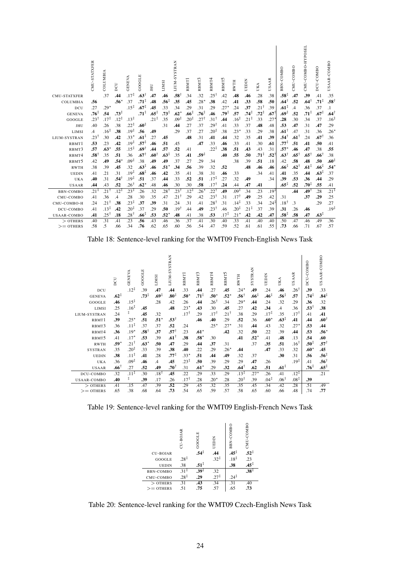| <b>CMU-STATXFER</b> | CMU-STATXFER     | COLUMBIA<br>.37  | DCU<br>.44       | GENEVA<br>$.17^{\ddagger}$ | GOOGLE<br>$.63^{\dagger}$ | JHU<br>.47       | LIMSI<br>.46     | LIUM-SYSTRAN<br>.581 | RBMT1<br>.34     | 3<br>RBMT.<br>.32 | RBMT <sup>4</sup><br>$.25^{\dagger}$ | 5<br>RBMT:<br>.42 | <b>RWTH</b><br>.48 | UEDIN<br>.46     | UKA<br>.28       | <b>SAAR</b><br>⋍<br>.38 | -COMBO<br>BBN.<br>$.58^{\ddagger}$ | CMU-COMBO<br>.47 | CMU-COMBO-HYPOSEL<br>.39 | DCU-COMBO<br>.41 | USAAR-COMBO<br>.35 |
|---------------------|------------------|------------------|------------------|----------------------------|---------------------------|------------------|------------------|----------------------|------------------|-------------------|--------------------------------------|-------------------|--------------------|------------------|------------------|-------------------------|------------------------------------|------------------|--------------------------|------------------|--------------------|
| COLUMBIA            | .56              |                  | $.56*$           | .37                        | $.71^{\ddagger}$          | .48              | $.56^{\ddagger}$ | .35                  | .45              | $.28*$            | .38                                  | .42               | .41                | .33              | .58              | .50                     | $.64^{\dagger}$                    | .52              | $.64^{\dagger}$          | $.71^{\ddagger}$ | $.58^{\dagger}$    |
| DCU                 | .27              | $.29*$           |                  | $.15^{\ddagger}$           | $.67^{\ddagger}$          | .45              | .33              | .34                  | .29              | .31               | .29                                  | $.27*$            | .24                | .37              | $.21^{\dagger}$  | .39                     | $.61^{\ddagger}$                   | $\mathcal{A}$    | .36                      | .37              | $\cdot$ 1          |
| <b>GENEVA</b>       | $.76^{\ddagger}$ | .54              | $.73^{\ddagger}$ |                            | $.71^{\ddagger}$          | $.65^{\ddagger}$ | $.73^{\ddagger}$ | $.62*$               | $.66^{\ddagger}$ | $.76^{\ddagger}$  | .46                                  | $.79^{\ddagger}$  | .57                | $.74^{\ddagger}$ | $.72^{\ddagger}$ | $.67$ <sup>1</sup>      | $.69^{\ddagger}$                   | .52              | $.71^{\ddagger}$         | $.67^{\ddagger}$ | $.64^{\dagger}$    |
| GOOGLE              | $.23^{\dagger}$  | $.17^{\ddagger}$ | $.12^{\ddagger}$ | $.13^{\ddagger}$           |                           | $.21^{\ddagger}$ | .35              | $.09^{\ddagger}$     | $.20^{\ddagger}$ | $.27^{\dagger}$   | 31†                                  | .44               | $.16^{\ddagger}$   | $.21^{\ddagger}$ | 33               | .27                     | .28                                | .30              | .34                      | .37              | $.16^{\ddagger}$   |
| JHU                 | .40              | .26              | .38              | $.22^{\ddagger}$           | $.60^{\ddagger}$          |                  | .31              | .44                  | .27              | .37               | .29 $^\dagger$                       | .41               | .33                | .37              | .48              | .48                     | .53                                | .47              | .31                      | .47              | .29                |
| LIMSI               | $\overline{A}$   | $.16^{\ddagger}$ | .38              | $.19^{\ddagger}$           | .56                       | .49              |                  | .29                  | .37              | .27               | $.20^{\ddagger}$                     | .38               | $.23*$             | .33              | .29              | .38                     | $.61^{\dagger}$                    | .47              | .31                      | .36              | $.26*$             |
| LIUM-SYSTRAN        | $.23^{\dagger}$  | .30              | .42              | $.33*$                     | $.61^{\ddagger}$          | 27               | .45              |                      | .48              | .31               | .41                                  | .44               | .32                | .35              | .41              | .39                     | .541                               | $.61^{\dagger}$  | .24                      | $.67^{\dagger}$  | .36                |
| RBMT1               | .53              | .23              | .42              | $.19^{\ddagger}$           | $.57^{\ddagger}$          | .46              | .51              | .45                  |                  | .47               | .33                                  | .46               | .33                | .41              | .30              | .61                     | .77‡                               | .51              | .41                      | .50              | .41                |
| RBMT3               | .57              | $.63*$           | .55              | $.15^{\ddagger}$           | $.69^{\dagger}$           | .44              | .57              | .52                  | .41              |                   | $.22^{\ddagger}$                     | .38               | .51                | .43              | .43              | .31                     | $.57^{\star}$                      | .46              | .47                      | .38              | .55                |
| RBMT4               | $.58^{\dagger}$  | .35              | .51              | .36                        | $.67^{\dagger}$           | $.60^{\circ}$    | $.63^{\ddagger}$ | .35                  | .41              | $.59^{\ddagger}$  |                                      | .40               | .55                | .50              | $.71^{\ddagger}$ | .52                     | $.63^{\dagger}$                    | $.65^{\dagger}$  | $.65^{\dagger}$          | $.66^{\dagger}$  | .38                |
| RBMT5               | .42              | .49              | $.54*$           | $.09^{\ddagger}$           | .38                       | .49              | .49              | .37                  | .27              | .29               | .34                                  |                   | .38                | .39              | .51              | .18                     | .42                                | .58              | .48                      | .50              | $.60^{\ddagger}$   |
| <b>RWTH</b>         | .38              | .39              | .45              | .32                        | $.63^{\ddagger}$          | .46              | $.51^*$          | .34                  | .56              | .39               | .32                                  | .52               |                    | .48              | .46              | .46                     | $.66^{\ddagger}$                   | $.62^{\dagger}$  | $.61^{\ddagger}$         | .66 <sup>‡</sup> | $.54*$             |
| <b>UEDIN</b>        | .41              | .21              | .31              | $.19^{\ddagger}$           | $.68^{\ddagger}$          | .46              | .42              | .35                  | .41              | .38               | .31                                  | .46               | .33                |                  | .34              | .41                     | .41                                | .35              | .44                      | $.63^{\ddagger}$ | .37                |
| UKA                 | .40              | .31              | أ54.             | $.19^{\ddagger}$           | .51                       | .37              | .44              | .33                  | .52              | .51               | $.17^{\ddagger}$                     | .27               | .32                | .49              |                  | .34                     | .39                                | .53              | .36                      | .44              | .29                |
| <b>USAAR</b>        | .44              | .43              | .52              | $.26^{\dagger}$            | $.62*$                    | .48              | .46              | .30                  | .30              | .58               | $.17^{\dagger}$                      | .24               | .44                | .47              | .41              |                         | $.65^{\ddagger}$                   | .52              | $.70^{\ddagger}$         | .55              | .41                |
| BBN-COMBO           | $.21^{\ddagger}$ | 211.             | $.12^{\ddagger}$ | $.23^{\ddagger}$           | .26                       | 32               | .28†             | 231.                 | $.12^{\ddagger}$ | $.26*$            | $.22^{\dagger}$                      | .49               | $.09^{\ddagger}$   | .34              | .23              | $.19^{\ddagger}$        |                                    | .44              | 19†.                     | .28              | $.21^{\ddagger}$   |
| CMU-COMBO           | .41              | .36              | .4               | .28                        | .30                       | .35              | .47              | 211.                 | .29              | .42               | $.23^{\dagger}$                      | .31               | $.17^{\dagger}$    | .49              | .25              | .42                     | .31                                |                  | .37                      | .29              | .25                |
| CMU-COMBO-H         | .24              | $.21^+$          | .38              | $.23^{\ddagger}$           | .37                       | .39              | .31              | .24                  | .31              | .41               | $.28^{\dagger}$                      | .31               | $.14^{\ddagger}$   | .33              | .34              | $.24^{\ddagger}$        | $.18^{\dagger}$                    | $\cdot$ 3        |                          | .29              | .27                |
| DCU-COMBO           | .41              | $.13^{\ddagger}$ | .42              | $.20^{+}$                  | .37                       | .29              | .50              | 19أ                  | .44              | .49               | $.23^{\dagger}$                      | .46               | $.20^{\ddagger}$   | $.21^{\ddagger}$ | .37              | .39                     | .31                                | .26              | .46                      |                  | $.19^{\ddagger}$   |
| USAAR-COMBO         | .41              | 251.             | .18              | 281.                       | $.66^{\ddagger}$          | .53              | $.52^*$          | .48                  | .41              | .38               | .53                                  | $.17^{\ddagger}$  | $.21*$             | .42              | .42              | .47                     | $.58^{\ddagger}$                   | .58              | .47                      | $.63^{\ddagger}$ |                    |
| $>$ OTHERS          | .40              | $\overline{.31}$ | .41              | $\overline{.23}$           | .56                       | .43              | .46              | .36                  | .37              | .41               | $\overline{.30}$                     | .40               | .33                | .41              | .40              | .40                     | .50                                | .47              | .46                      | .49              | .36                |
| $>=$ OTHERS         | .58              | .5               | .66              | .34                        | .76                       | .62              | .65              | .60                  | .56              | .54               | .47                                  | .59               | .52                | .61              | .61              | .55                     | .73                                | .66              | .71                      | .67              | .57                |

Table 18: Sentence-level ranking for the WMT09 French-English News Task

|                    | DCU              | GENEVA           | GOOGLE           | <b>LIMSI</b>     | <b>LIUM-SYSTRAN</b> | RBMT <sup>1</sup> | RBMT3            | RBMT4           | RBMT5   | <b>RWTH</b>      | <b>SYSTRAN</b>   | UEDIN            | UKA              | <b>USAAR</b>     | DCU-COMBO        | USAAR-COMBO      |
|--------------------|------------------|------------------|------------------|------------------|---------------------|-------------------|------------------|-----------------|---------|------------------|------------------|------------------|------------------|------------------|------------------|------------------|
| DCU                |                  | $.12^{+}$        | .39              | .47              | .44                 | .33               | .44              | .27             | .45     | $.24*$           | .49              | .24              | .46              | $.26^{\dagger}$  | .39              | .33              |
| <b>GENEVA</b>      | $.62^{\ddagger}$ |                  | $.73^{\ddagger}$ | $.69^{\ddagger}$ | .80 <sup>‡</sup>    | $.50^{\star}$     | $.71^{\ddagger}$ | $.50*$          | $.52*$  | $.56^{\dagger}$  | .66 <sup>†</sup> | $.46^{\ddagger}$ | .56‡             | .57              | .74‡             | $.84^{\ddagger}$ |
| GOOGLE             | .46              | $.15^{\ddagger}$ |                  | .28              | .42                 | .26               | .44              | $.26^{\dagger}$ | .34     | $.29*$           | .44              | .24              | .32              | .29              | .36              | .32              |
| LIMSI              | .25              | $.16^{\ddagger}$ | .45              |                  | .48                 | $.23*$            | .43              | .30             | .45     | .27              | .42              | .34              | $\mathcal{A}$    | .36              | $.53^{\dagger}$  | .38              |
| LIUM-SYSTRAN       | .24              | $\ddagger$       | .45              | .32              |                     | $.17^{\dagger}$   | .29              | $.17^{\dagger}$ | $.21^+$ | .38              | .29              | $.17^{\ddagger}$ | .35              | .17†             | .41              | .41              |
| RBMT1              | .39              | $.25*$           | .51              | $.51*$           | $.53^{\dagger}$     |                   | .46              | .40             | .29     | .52              | .36              | $.60*$           | $.63^{\ddagger}$ | .41              | .44              | $.60^{\dagger}$  |
| RBMT3              | .36              | $.11^{\ddagger}$ | .37              | .37              | .52                 | .24               |                  | $.25*$          | $.27*$  | .31              | .44              | .43              | .32              | $.27*$           | .53              | .44              |
| RBMT4              | .36              | $.19*$           | $.58^{\dagger}$  | .37              | $.57^{\dagger}$     | .23               | $.61*$           |                 | .42     | .32              | .50              | .22              | .39              | .44              | .53              | $.56*$           |
| RBMT5              | .41              | $.17*$           | .53              | .39              | $.61^{\dagger}$     | .38               | $.58*$           | .30             |         | .41              | $.52*$           | .41              | .48              | .13              | .54              | .60              |
| <b>RWTH</b>        | .59*             | $.21^+$          | $.63*$           | .50              | .47                 | .29               | .44              | .37             | .31     |                  | .37              | .35              | .51              | $.16^{\dagger}$  | .50‡             | $.57^+$          |
| <b>SYSTRAN</b>     | .35              | $.20^{+}$        | .33              | .39              | .38                 | .40               | .22              | .29             | $.26*$  | .44              |                  | .47              | .33              | .32              | $.60*$           | .45              |
| <b>UEDIN</b>       | .38              | $.11^{\ddagger}$ | .41              | .28              | $.77^{\ddagger}$    | $.33*$            | .51              | .44             | .49     | .32              | .37              |                  | .30              | .31              | .56              | $.56^{\ddagger}$ |
| <b>UKA</b>         | .36              | $.09^{\ddagger}$ | .46              | $\mathcal{A}$    | .45                 | $.23^{\ddagger}$  | .50              | .39             | .29     | .29              | .47              | .26              |                  | $.19^{\ddagger}$ | .41              | $.56^{\dagger}$  |
| <b>USAAR</b>       | $.66^{\dagger}$  | .27              | .52              | .49              | $.70^{\dagger}$     | .31               | $.61*$           | .29             | .32     | $.64^{\dagger}$  | .62              | .51              | $.61^{\ddagger}$ |                  | $.76^{\ddagger}$ | $.65^{\ddagger}$ |
| DCU-COMBO          | .32              | $.11^{\ddagger}$ | .30              | $.18^{\dagger}$  | .45                 | .22               | .29              | .33             | .29     | $.13^{\ddagger}$ | $.27*$           | .26              | .41              | $.12^{\ddagger}$ |                  | .21              |
| <b>USAAR-COMBO</b> | .40              | $\ddagger$       | .39              | .17              | .26                 | $.17^{\dagger}$   | .28              | $.20*$          | .28     | $.20^{\dagger}$  | .39              | $.04^{\ddagger}$ | $.06^{\dagger}$  | $.08^{\ddagger}$ | .39              |                  |
| $>$ OTHERS         | .41              | .15              | .47              | .39              | .52                 | .29               | .45              | .32             | .35     | .35              | .45              | .34              | .42              | .28              | .51              | .49              |
| $>=$ OTHERS        | .65              | .38              | .68              | .64              | .73                 | .54               | .65              | .59             | .57     | .58              | .65              | .60              | .66              | .48              | .74              | .77              |

Table 19: Sentence-level ranking for the WMT09 English-French News Task

|                  | CU-BOJAR         | GOOGLE           | UEDIN            | BBN-COMBO        | CMU-COMBO        |  |
|------------------|------------------|------------------|------------------|------------------|------------------|--|
| <b>CU-BOJAR</b>  |                  | $.54^{\ddagger}$ | .44              | $.45^{\ddagger}$ | $.52^{\ddagger}$ |  |
| GOOGLE           | $.28^{\ddagger}$ |                  | $.32^{\ddagger}$ | $.18^{\ddagger}$ | .23              |  |
| <b>UEDIN</b>     | .38              | $.51^{\ddagger}$ |                  | .38              | $.45^{\ddagger}$ |  |
| <b>BBN-COMBO</b> | $.31^{\ddagger}$ | $.39^{\ddagger}$ | .32              |                  | $.38^{\ddagger}$ |  |
| CMU-COMBO        | $.28^{\ddagger}$ | .29              | $.27^{\ddagger}$ | $.24^{\ddagger}$ |                  |  |
| $>$ OTHERS       | .31              | .43              | .34              | .31              | .40              |  |
| $=$ OTHERS       | .51              | .75              | .57              | .65              | .73              |  |
|                  |                  |                  |                  |                  |                  |  |

Table 20: Sentence-level ranking for the WMT09 Czech-English News Task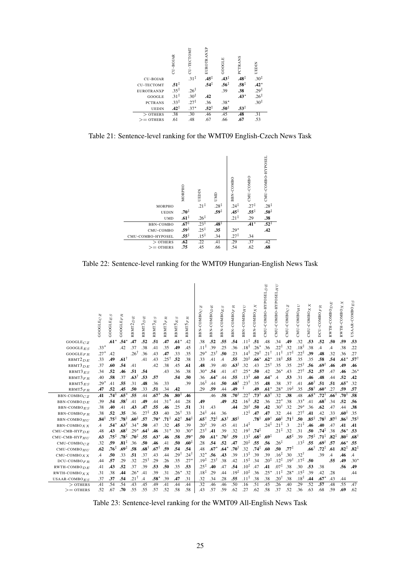

Table 21: Sentence-level ranking for the WMT09 English-Czech News Task



Table 22: Sentence-level ranking for the WMT09 Hungarian-English News Task

|                                   | N<br><b>GOOGLEC</b> | S<br>$\mathrm{GOGLE}_E$ | π<br>GOOGLEF                       | 囟<br>Q<br>RBMT2   | 囟<br>$\overline{a}$<br>RBMT3 | RBMT3 <sub>ES</sub>    | RBMT3FR          | $_{ES}$<br>RBMT5 | α<br>Ŀ,<br>MT5<br>RB)   | N<br>BBN-COMBOC              | 囟<br>$\Box$<br>BBN-COMBO | w<br>回<br>BBN-COMBO | œ<br>Ŀ,<br>BBN-COMBO   | C<br>BBN-COMBO <sub>H</sub>         | ×<br>BBN-COMBO <sub>X</sub> | $CMU$ -COMBO-HYPOSEL $D \overline{E}$ | CMU-COMBO-HYPOSELHU                  | N<br>$CMU$ -COMBO $C$       | ₿<br>Ξ<br>CMU-COMBO     | X X<br>CMU-COMBO | DCU-COMBOFR                  | E<br>RWTH-COMBO <sub>D</sub> | $RWTH-COMBO X X$                     | USAAR-COMBO <sub>ES</sub> |
|-----------------------------------|---------------------|-------------------------|------------------------------------|-------------------|------------------------------|------------------------|------------------|------------------|-------------------------|------------------------------|--------------------------|---------------------|------------------------|-------------------------------------|-----------------------------|---------------------------------------|--------------------------------------|-----------------------------|-------------------------|------------------|------------------------------|------------------------------|--------------------------------------|---------------------------|
| $GOOGLE_{CZ}$                     |                     | $.61*$                  | $.54*$                             | .47               | .52                          | .51                    | .47              | $.61*$           | .42                     | .38                          | .52                      | .55                 | .54                    | $.11^{\ddagger}$                    | .51                         | .48                                   | .34                                  | .49                         | .32                     | .53              | .52                          | .50                          | .59                                  | .53                       |
| GOOGLEES                          | $.33*$              |                         | .42                                | .37               | .38                          | .41                    | .35              | .49              | .45                     | $.11^{\ddagger}$             | .39                      | .25                 | .36                    | $.18^{\ddagger}$                    | $.26*$                      | 36                                    | $.22^{\ddagger}$                     | .32                         | $.18^{\ddagger}$        | .38              | .4                           | .4                           | .38                                  | .22                       |
| GOOGLE $F$ R                      | $.27*$              | .42                     |                                    | $.26^{\dagger}$   | .36                          | .43                    | .47              | .33              | .35                     | $.29*$                       | $.23^{\dagger}$          | .50                 | .23                    | $.14^{\ddagger}$                    | $.29^{\dagger}$             | $.21^{\dagger}$                       | $.11^{\ddagger}$                     | $.17^{\ddagger}$            | $.22^{\ddagger}$        | .39              | .48                          | .32                          | .36                                  | .27                       |
| RBMT2 <sub>DE</sub>               | .33                 | .49                     | $.61^{\dagger}$                    |                   | .41                          | .43                    | 25†              | .52              | .38                     | .33                          | .41                      | $\overline{A}$      | .55                    | $.20^{\ddagger}$                    | $.66*$                      | $.62*$                                | $.18^{\ddagger}$                     | .55                         | .35                     | .35              | .58                          | .54                          | $.61*$                               | .571                      |
| RBMT3 <sub>DE</sub>               | .37                 | .60                     | .54                                | .41               |                              | .42                    | .38              | .45              | .61                     | .48                          | .39                      | .40                 | $.63^{\ddagger}$       | .32                                 | .43                         | $.25^{\dagger}$                       | .35                                  | .35                         | $.25^{\dagger}$         | .56              | † 69.                        | .46                          | .49                                  | .46                       |
| $RBMT3_{ES}$                      | .34                 | .52                     | .46                                | .51               | .54                          |                        | .43              | .36              | .38                     | $.30*$                       | .54                      | .41                 | .47                    | $.25*$                              | .50                         | .42                                   | $.26*$                               | .43                         | $.27^{\dagger}$         | .52              | .57                          | .47                          | .46                                  | .26                       |
| RBMT3FR                           | .40                 | .58                     | .37                                | $.63^{\dagger}$   | .53                          | .57                    |                  | .54              | .50                     | .36                          | $.64*$                   | .44                 | .55                    | $.13^{\ddagger}$                    | .60                         | $.64*$                                | $\overline{A}$                       | .53                         | .31                     | .46              | .48                          | .44                          | .52                                  | .42                       |
| $RBMT5_{ES}$                      | $.29*$              | .41                     | .55                                | .31               | .48                          | .36                    | .33              |                  | .39                     | .16 <sup>‡</sup>             | .44                      | .50                 | $.68^{\dagger}$        | $.23^{\dagger}$<br>ŧ                | .35                         | .48                                   | .38                                  | .37                         | .41                     | $.60^{\dagger}$  | .51                          | .51                          | .65                                  | .32                       |
| $RBMT5_{FR}$                      | .47                 | .52                     | .45                                | .50               | .33                          | .51                    | .34              | .42              |                         | .29                          | .59                      | .44                 | .49                    |                                     | .49                         | $.61*$                                | $.28*$                               | $.19^{\ddagger}$            | .35                     | $.58^{\dagger}$  | $.60*$                       | .27                          | .59                                  | .57                       |
| $BBN-COMBOCZ$                     | .41                 | $.74^{\ddagger}$        | $.65*$                             | .55               | .44                          | $.67*$                 | .56              | $.80^{\ddagger}$ | .46                     |                              | .46                      | .58                 | .70‡                   | $.22^{\dagger}$                     | $.73^+$                     | $.63^{\dagger}$                       | .32                                  | .38                         | .48                     | $.65*$           | $.72^{+}$                    | $.66^{\ddagger}$             | $.70^{1}$                            | .58                       |
| $BBN-COMBO$                       | .39                 | .54                     | $.58^{\dagger}$                    | .41               | .49                          | .44                    | $.31*$           | .44              | .28                     | .49                          |                          | .49                 | .52                    | $.16^{\ddagger}$                    | .52                         | 36                                    | $.22*$                               | .38                         | $.33*$                  | .41              | $.68^{\dagger}$              | .34                          | .52                                  | .56                       |
| $BBN-COMBOES$                     | .38                 | .40                     | .41                                | .43               | .47                          | .55                    | .46              | .25              | .51                     | .31                          | .43                      |                     | .44                    | $.20^{\dagger}$                     | .50                         | .42                                   | $.30^{\dagger}$                      | .32                         | $.29*$                  | .36              | .62                          | .47                          | .44                                  | .38                       |
| <b>BBN-COMBO</b> FR               | .38                 | .52                     | .35                                | .36               | $.27^{\ddagger}$             | .53                    | .40              | $.26^{\dagger}$  | .33                     | $.24^{\ddagger}$             | .44                      | .36                 |                        | $.12^{\ddagger}$                    | .47                         | .47                                   | .32                                  | .44                         | $.27^{\dagger}$         | .41              | .42                          | .33                          | .60 <sup>‡</sup>                     | .35                       |
| BBN-COMBO <sub>HII</sub>          | $.84^{\ddagger}$    | $.75^{\ddagger}$        | $.78^{\ddagger}$                   | .60‡              | .57                          | $.70^{\star}$          | $.71^{\ddagger}$ | $.62^{\dagger}$  | $.84^{\ddagger}$        | $.65^{\dagger}$              | $.72^{\ddagger}$         | $.63^{\dagger}$     | $.85^{\ddagger}$       |                                     | $.78^{\ddagger}$            | $.69^{\dagger}$<br>$.24^{\ddagger}$   | $.60^{\ddagger}$<br>$.21^{\ddagger}$ | $.71^{\ddagger}$            | .50<br>$.21^{\ddagger}$ | $.85^{\ddagger}$ | $.78^{\ddagger}$             | $.87^{\ddagger}$             | $.86^{\ddagger}$                     | $.75^{\frac{1}{2}}$       |
| $BBN-COMBOXX$                     | $\mathcal{A}$       | .54*<br>.43             | $.63^{\dagger}$<br>$.68^{\dagger}$ | $.34*$<br>$.29*$  | .50                          | .47<br>.46             | .32<br>$.31*$    | .45<br>.30       | .39<br>$.30*$           | $.20^{+}$<br>$.23^{\dagger}$ | .39<br>.41               | .45<br>.39          | .41<br>.32             | $.14^{\ddagger}$<br>$.19^{\dagger}$ | $.74^{\ddagger}$            |                                       | $.21^{\ddagger}$                     | $\cdot$ <sup>3</sup><br>.32 | .31                     | .46<br>.50       | .40<br>$.74^{\ddagger}$      | .47<br>.38                   | .41                                  | .41<br>.53                |
| $CMU$ -CMB-HYP $DE$               | .48                 | $.75^{\ddagger}$        | $.78^{\ddagger}$                   | $.70^{\ddagger}$  | .64                          |                        |                  |                  |                         |                              |                          | $.70^{\dagger}$     |                        | $.13^{\ddagger}$                    |                             |                                       |                                      | $.65^{\ddagger}$            | .39                     | $.75^{\ddagger}$ | $.71^{\ddagger}$             | $.82^{\ddagger}$             | .56                                  |                           |
| $CMU$ -CMB-HYP $_{HII}$           | .63                 |                         | $.81^{\ddagger}$                   |                   | .55                          | $.63*$                 | .46              | .58              | $.59*$                  | .50                          | $.61*$                   |                     | .59                    | $.20^{\ddagger}$                    | $.68^{\ddagger}$            | $.69^{\ddagger}$                      | $.26^{\ddagger}$                     |                             | $.13^{\ddagger}$        | .55              |                              |                              | $.80^{\ddagger}$                     | .68                       |
| $CMU$ -COMBO $CZ$                 | .32<br>.62          | .59<br>$.76^{\ddagger}$ | .69 $\ddagger$                     | .36<br>.58        | .50<br>$.68^{\dagger}$       | .46<br>$.67^{\dagger}$ | .41<br>.59       | .50<br>.54       | .60 <sup>‡</sup><br>.54 | .28                          | .54<br>$.67*$            | .52<br>$.64*$       | .47<br>$.70^{\dagger}$ | .32                                 | .55<br>$.74^{\ddagger}$     | .56<br>.60                            | .50                                  | $.77^{\ddagger}$            |                         |                  | $.69^{\dagger}$<br>$.72^{+}$ | .57                          | .66 <sup>°</sup><br>$.82^{\ddagger}$ | .55<br>$.82^{\ddagger}$   |
| $CMU$ -COMBO $HII$                |                     |                         |                                    |                   |                              |                        |                  |                  | $.24^{\dagger}$         | .48                          |                          |                     |                        | $.13^{\ddagger}$                    | .39                         |                                       | $.16^{\ddagger}$                     | .30                         | $.32^+$                 | $.66^{\dagger}$  |                              | .61                          |                                      |                           |
| $CMU$ -COMBO $X X$                | $\cdot$             | .50                     | .33                                | .51               | .37<br>$.25^{\dagger}$       | .43                    | .44              | 29†              |                         | $.32*$<br>$.19^{\ddagger}$   | .56<br>$.23^{\dagger}$   | .43<br>.38          | .39                    | $.15^{\ddagger}$                    |                             | .39<br>$.20^{\ddagger}$               | $.12^{\ddagger}$                     | 19†.                        |                         |                  | .39                          | $\mathcal{A}$                | .46                                  | $\cdot$                   |
| $DCU$ -COMBO <sub>FR</sub>        | .44                 | .57                     | .29<br>.52                         | .32<br>.37        | .39                          | 29<br>.53              | .26<br>.50       | .35              | $.27*$<br>.53           | $.25^{\ddagger}$             | .40                      | .47                 | .42<br>.54             | $.10^{1}$                           | .34<br>.47                  | .41                                   | $.07^{\ddagger}$                     | .38                         | $.17^{\ddagger}$<br>.30 | .50<br>.53       | .38                          | .55                          | .49<br>.56                           | .30 <sup>2</sup><br>.49   |
| $RWTH-COMBODE$                    | .41                 | .43                     |                                    |                   |                              |                        |                  | .35              |                         | $.18^{\ddagger}$             |                          | .44                 | $.19^{\ddagger}$       | $.10^{1}$                           |                             | $.25*$                                | $.11^{\ddagger}$                     | $.28*$                      | $.15^{\ddagger}$        | .39              |                              |                              |                                      | .44                       |
| RWTH-COMBO $X X$                  | .31<br>.37          | .38<br>.37              | .44<br>.54                         | $.26*$<br>$.21^+$ | .41<br>$\cdot$ 4             | .39<br>$.58^{\star}$   | .31<br>.39       | $.26*$<br>.47    | .32<br>.31              | .32                          | .29<br>.34               | .28                 | .55                    | $.11^{\ddagger}$                    | .36<br>.38                  | .38                                   | $.20^{\dagger}$                      | .38                         | $.18^{\ddagger}$        | .44              | .42<br>$.67*$                | .28<br>.43                   | .44                                  |                           |
| USAAR-COMBO $_{ES}$<br>$>$ OTHERS | .41                 | .54                     | .54                                | .43               | .45                          | .49                    | .41              | .44              | .44                     | .32                          | .46                      | .46                 | .50                    | .16                                 | .51                         | .45                                   | .26                                  | .40                         | .29                     | .52              | .57                          | .48                          | .55                                  | .47                       |
| $>=$ OTHERS                       | .52                 | .67                     | .70                                | .55               | .55                          | .57                    | .52              | .58              | .58                     | .43                          | .57                      | .59                 | .62                    | .27                                 | .62                         | .58                                   | .37                                  | .52                         | .36                     | .63              | .68                          | .59                          | .69                                  | .62                       |
|                                   |                     |                         |                                    |                   |                              |                        |                  |                  |                         |                              |                          |                     |                        |                                     |                             |                                       |                                      |                             |                         |                  |                              |                              |                                      |                           |

Table 23: Sentence-level ranking for the WMT09 All-English News Task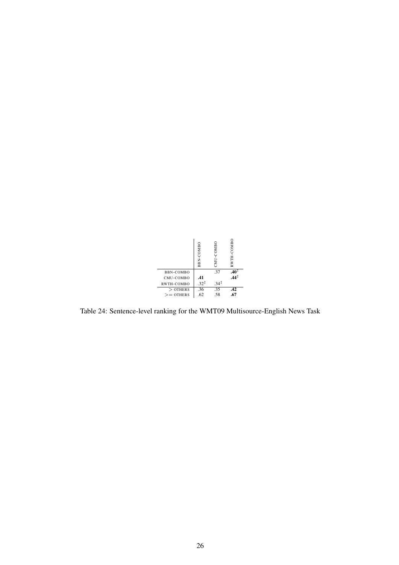

Table 24: Sentence-level ranking for the WMT09 Multisource-English News Task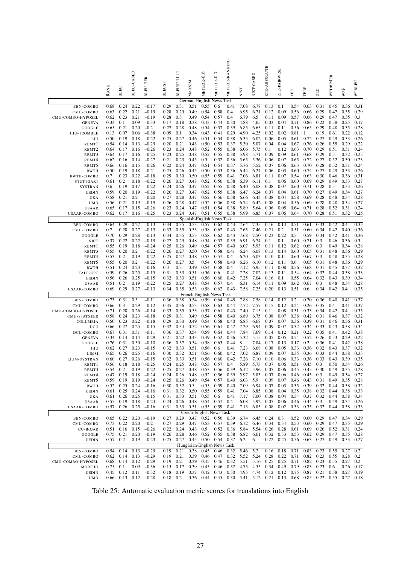|                                 | <b>RANK</b>  | <b>BLEU</b>          | BLEU-CASED            | BLEU-TER           | <b>BLEUSP</b> | BLEUSP4114   | MAXSIM       | METEOR-0.6                    | METEOR-0.7   | METEOR-RANKING                     | NIST                        | NIST-CASED   | RTE-ABSOLUTE | RTE-PAIRWISE | TER          | TERP                 | ULC          | WCD6P4ER       | WPF          | WPBLEU       |
|---------------------------------|--------------|----------------------|-----------------------|--------------------|---------------|--------------|--------------|-------------------------------|--------------|------------------------------------|-----------------------------|--------------|--------------|--------------|--------------|----------------------|--------------|----------------|--------------|--------------|
| BBN-COMBO                       | 0.68         | 0.24                 | 0.22                  | $-0.17$            | 0.29          | 0.31         | 0.51         | German-English News<br>0.55   | 0.6          | Task<br>0.41                       | 7.08                        | 6.78         | 0.13         | 0.1          | 0.54         | 0.63                 | 0.31         | 0.45           | 0.36         | 0.31         |
| CMU-COMBO                       | 0.63         | 0.22                 | 0.21                  | $-0.19$            | 0.28          | 0.29         | 0.49         | 0.54                          | 0.58         | 0.4                                | 6.95                        | 6.71         | 0.12         | 0.09         | 0.56         | 0.66                 | 0.29         | 0.47           | 0.35         | 0.29         |
| CMU-COMBO-HYPOSEL               | 0.62         | 0.23                 | 0.21                  | $-0.19$            | 0.28          | 0.3          | 0.49         | 0.54                          | 0.57         | 0.4                                | 6.79                        | 6.5          | 0.11         | 0.09         | 0.57         | 0.66                 | 0.29         | 0.47           | 0.35         | 0.3          |
| <b>GENEVA</b>                   | 0.33         | 0.1                  | 0.09                  | $-0.33$            | 0.17          | 0.18         | 0.38         | 0.43                          | 0.44         | 0.30                               | 4.88                        | 4.65         | 0.03         | 0.04         | 0.71         | 0.86                 | 0.22         | 0.58           | 0.25         | 0.17         |
| GOOGLE                          | 0.65         | 0.21                 | 0.20                  | $-0.2$             | 0.27          | 0.28         | 0.48         | 0.54                          | 0.57         | 0.39                               | 6.85                        | 6.65         | 0.11         | 0.11         | 0.56         | 0.65                 | 0.29         | 0.48           | 0.35         | 0.28         |
| <b>JHU-TROMBLE</b>              | 0.13<br>0.50 | 0.07<br>0.19         | 0.06<br>0.18          | $-0.38$<br>$-0.22$ | 0.09<br>0.25  | 0.1<br>0.27  | 0.34<br>0.46 | 0.43<br>0.51                  | 0.41<br>0.54 | 0.29<br>0.38                       | 4.90<br>6.35                | 4.25<br>6.02 | 0.02<br>0.06 | 0.02<br>0.05 | 0.81<br>0.61 | $\mathbf{1}$<br>0.72 | 0.19<br>0.27 | 0.61<br>0.49   | 0.22<br>0.33 | 0.12<br>0.26 |
| LIU<br>RBMT1                    | 0.54         | 0.14                 | 0.13                  | $-0.29$            | 0.20          | 0.21         | 0.43         | 0.50                          | 0.53         | 0.37                               | 5.30                        | 5.07         | 0.04         | 0.04         | 0.67         | 0.76                 | 0.26         | 0.55           | 0.29         | 0.22         |
| RBMT <sub>2</sub>               | 0.64         | 0.17                 | 0.16                  | $-0.26$            | 0.23          | 0.24         | 0.48         | 0.52                          | 0.55         | 0.38                               | 6.06                        | 5.75         | 0.1          | 0.12         | 0.63         | 0.70                 | 0.29         | 0.51           | 0.31         | 0.24         |
| RBMT3                           | 0.64         | 0.17                 | 0.16                  | $-0.25$            | 0.23          | 0.25         | 0.48         | 0.52                          | 0.55         | 0.38                               | 5.98                        | 5.71         | 0.09         | 0.09         | 0.61         | 0.68                 | 0.29         | 0.51           | 0.32         | 0.25         |
| RBMT4                           | 0.62         | 0.16                 | 0.14                  | $-0.27$            | 0.21          | 0.23         | 0.45         | 0.5                           | 0.52         | 0.36                               | 5.65                        | 5.36         | 0.06         | 0.07         | 0.65         | 0.72                 | 0.27         | 0.52           | 0.30         | 0.23         |
| RBMT5                           | 0.66         | 0.16                 | 0.15                  | $-0.26$            | 0.22          | 0.24         | 0.47         | 0.51                          | 0.54         | 0.37                               | 5.76                        | 5.52         | 0.07         | 0.06         | 0.63         | 0.70                 | 0.28         | 0.52           | 0.31         | 0.24         |
| <b>RWTH</b><br>RWTH-COMBO       | 0.50<br>0.7  | 0.19<br>0.23         | 0.18<br>0.22          | $-0.21$<br>$-0.18$ | 0.25<br>0.29  | 0.26<br>0.30 | 0.45<br>0.50 | 0.50<br>0.55                  | 0.53<br>0.59 | 0.36<br>0.41                       | 6.44<br>7.06                | 6.24<br>6.81 | 0.06<br>0.11 | 0.03<br>0.07 | 0.60<br>0.54 | 0.74<br>0.63         | 0.27<br>0.30 | 0.49<br>0.46   | 0.33<br>0.36 | 0.26<br>0.31 |
| STUTTGART                       | 0.61         | 0.2                  | 0.18                  | $-0.22$            | 0.26          | 0.27         | 0.48         | 0.52                          | 0.56         | 0.38                               | 6.39                        | 6.11         | 0.1          | 0.06         | 0.60         | 0.69                 | 0.29         | 0.49           | 0.33         | 0.27         |
| SYSTRAN                         | 0.6          | 0.19                 | 0.17                  | $-0.22$            | 0.24          | 0.26         | 0.47         | 0.52                          | 0.55         | 0.38                               | 6.40                        | 6.08         | 0.08         | 0.07         | 0.60         | 0.71                 | 0.28         | 0.5            | 0.33         | 0.26         |
| UEDIN                           | 0.59         | 0.20                 | 0.19                  | $-0.22$            | 0.26          | 0.27         | 0.47         | 0.52                          | 0.55         | 0.38                               | 6.47                        | 6.24         | 0.07         | 0.04         | 0.61         | 0.70                 | 0.27         | 0.49           | 0.34         | 0.27         |
| UKA                             | 0.58         | 0.21                 | 0.2                   | $-0.20$            | 0.27          | 0.28         | 0.47         | 0.52                          | 0.56         | 0.38                               | 6.66                        | 6.43         | 0.08         | 0.04         | 0.58         | 0.69                 | 0.28         | 0.48           | 0.34         | 0.28         |
| <b>UMD</b>                      | 0.56         | 0.21                 | 0.19                  | $-0.19$            | 0.26          | 0.28         | 0.47         | 0.52                          | 0.56         | 0.38                               | 6.74                        | 6.42         | 0.08         | 0.04         | 0.56         | 0.69                 | 0.28         | 0.48           | 0.34         | 0.27         |
| USAAR<br>USAAR-COMBO            | 0.65<br>0.62 | 0.17<br>0.17         | 0.15<br>0.16          | $-0.26$<br>$-0.25$ | 0.23<br>0.23  | 0.24<br>0.24 | 0.47<br>0.47 | 0.51<br>0.51                  | 0.54<br>0.55 | 0.38<br>0.38                       | 5.89<br>5.99                | 5.64<br>6.85 | 0.06<br>0.07 | 0.05<br>0.06 | 0.64<br>0.64 | 0.71<br>0.70         | 0.28<br>0.28 | 0.52<br>0.51   | 0.31<br>0.32 | 0.24<br>0.25 |
|                                 |              |                      |                       |                    |               |              |              | Spanish-English News Task     |              |                                    |                             |              |              |              |              |                      |              |                |              |              |
| BBN-COMBO                       | 0.64         | 0.29                 | 0.27                  | $-0.13$            | 0.34          | 0.35         | 0.53         | 0.57                          | 0.62         | 0.43                               | 7.64                        | 7.35         | 0.16         | 0.13         | 0.51         | 0.61                 | 0.33         | 0.42           | 0.4          | 0.35         |
| CMU-COMBO                       | 0.7          | 0.28                 | 0.27                  | $-0.13$            | 0.33          | 0.35         | 0.53         | 0.58                          | 0.62         | 0.43                               | 7.65                        | 7.46         | 0.21         | 0.2          | 0.51         | 0.60                 | 0.34         | 0.42           | 0.40         | 0.36         |
| GOOGLE                          | 0.70         | 0.29                 | 0.28                  | $-0.13$            | 0.34          | 0.35         | 0.53         | 0.58                          | 0.62         | 0.43                               | 7.68                        | 7.50         | 0.23         | 0.22         | 0.5          | 0.59                 | 0.34         | 0.42           | 0.41         | 0.36         |
| NICT                            | 0.37         | 0.22                 | 0.22                  | $-0.19$            | 0.27          | 0.29         | 0.48         | 0.54                          | 0.57         | 0.39                               | 6.91                        | 6.74         | 0.1          | 0.1          | $_{0.60}$    | 0.71                 | 0.3          | 0.46           | 0.36         | 0.3          |
| RBMT1<br>RBMT3                  | 0.55<br>0.55 | 0.19<br>0.20         | 0.18<br>0.2           | $-0.24$<br>$-0.22$ | 0.25<br>0.26  | 0.26<br>0.27 | 0.49<br>0.50 | 0.54<br>0.54                  | 0.57<br>0.58 | 0.40<br>0.41                       | 6.07<br>6.24                | 5.93<br>6.08 | 0.11<br>0.13 | 0.12<br>0.14 | 0.62<br>0.60 | 0.69<br>0.65         | 0.3<br>0.31  | 0.49<br>0.48   | 0.34<br>0.36 | 0.28<br>0.29 |
| RBMT4                           | 0.53         | 0.2                  | 0.19                  | $-0.22$            | 0.25          | 0.27         | 0.48         | 0.53                          | 0.57         | 0.4                                | 6.20                        | 6.03         | 0.10         | 0.11         | 0.60         | 0.67                 | 0.3          | 0.48           | 0.35         | 0.28         |
| RBMT5                           | 0.55         | 0.20                 | 0.2                   | $-0.22$            | 0.26          | 0.27         | 0.5          | 0.54                          | 0.58         | 0.40                               | 6.26                        | 6.10         | 0.12         | 0.11         | 0.6          | 0.65                 | 0.31         | 0.48           | 0.36         | 0.29         |
| <b>RWTH</b>                     | 0.51         | 0.24                 | 0.23                  | $-0.16$            | 0.3           | 0.31         | 0.49         | 0.54                          | 0.58         | 0.4                                | 7.12                        | 6.95         | 0.11         | 0.08         | 0.56         | 0.68                 | 0.31         | 0.45           | 0.37         | 0.32         |
| TALP-UPC                        | 0.59         | 0.26                 | 0.25                  | $-0.15$            | 0.31          | 0.33         | 0.51         | 0.56                          | 0.6          | 0.41                               | 7.28                        | 7.02         | 0.13         | 0.11         | 0.54         | 0.64                 | 0.32         | 0.44           | 0.38         | 0.33         |
| <b>UEDIN</b>                    | 0.56         | 0.26                 | 0.25                  | $-0.15$            | 0.32          | 0.33         | 0.51         | 0.56                          | 0.60         | 0.42                               | 7.25                        | 7.04         | 0.16         | 0.1          | 0.55         | 0.64<br>0.67         | 0.32         | 0.43           | 0.39         | 0.34         |
| USAAR<br>USAAR-COMBO            | 0.51<br>0.69 | 0.2<br>0.29          | 0.19<br>0.27          | $-0.22$<br>$-0.13$ | 0.25<br>0.34  | 0.27<br>0.35 | 0.48<br>0.53 | 0.54<br>0.58                  | 0.57<br>0.62 | 0.4<br>0.43                        | 6.31<br>7.58                | 6.14<br>7.25 | 0.11<br>0.20 | 0.09<br>0.13 | 0.62<br>0.51 | 0.6                  | 0.3<br>0.34  | 0.48<br>0.42   | 0.34<br>0.4  | 0.28<br>0.35 |
|                                 |              |                      |                       |                    |               |              |              | French-English News Task      |              |                                    |                             |              |              |              |              |                      |              |                |              |              |
| BBN-COMBO                       | 0.73         | 0.31                 | 0.3                   | $-0.11$            | 0.36          | 0.38         | 0.54         | 0.59                          | 0.64         | 0.45                               | 7.88                        | 7.58         | 0.14         | 0.12         | 0.2          | 0.20                 | 0.36         | 0.40           | 0.41         | 0.37         |
| CMU-COMBO                       | 0.66         | 0.3                  | 0.29                  | $-0.12$            | 0.35          | 0.36         | 0.53         | 0.58                          | 0.63         | 0.44                               | 7.72                        | 7.57         | 0.15         | 0.12         | 0.24         | 0.26                 | 0.35         | 0.41           | 0.41         | 0.37         |
| CMU-COMBO-HYPOSEL               | 0.71         | 0.28                 | 0.26                  | $-0.14$            | 0.33          | 0.35         | 0.53         | 0.57                          | 0.61         | 0.43                               | 7.40                        | 7.15         | 0.1          | 0.08         | 0.31         | 0.33                 | 0.34         | 0.42           | 0.4          | 0.35         |
| <b>CMU-STATXFER</b><br>COLUMBIA | 0.58<br>0.50 | 0.24<br>0.23         | 0.23<br>0.22          | $-0.18$<br>$-0.18$ | 0.29<br>0.29  | 0.31<br>0.30 | 0.49<br>0.49 | 0.54<br>0.54                  | 0.58<br>0.58 | 0.40<br>0.40                       | 6.89<br>6.85                | 6.75<br>6.68 | 0.08<br>0.07 | 0.07<br>0.07 | 0.38<br>0.36 | 0.42<br>0.39         | 0.31<br>0.31 | 0.46<br>0.46   | 0.37<br>0.36 | 0.32<br>0.31 |
| DCU                             | 0.66         | 0.27                 | 0.25                  | $-0.15$            | 0.32          | 0.34         | 0.52         | 0.56                          | 0.61         | 0.42                               | 7.29                        | 6.94         | 0.09         | 0.07         | 0.32         | 0.34                 | 0.33         | 0.43           | 0.38         | 0.34         |
| DCU-COMBO                       | 0.67         | 0.31                 | 0.31                  | $-0.11$            | 0.36          | 0.37         | 0.54         | 0.59                          | 0.64         | 0.44                               | 7.84                        | 7.69         | 0.14         | 0.12         | 0.21         | 0.22                 | 0.35         | 0.41           | 0.42         | 0.38         |
| <b>GENEVA</b>                   | 0.34         | 0.14                 | 0.14                  | $-0.29$            | 0.21          | 0.22         | 0.43         | 0.49                          | 0.52         | 0.36                               | 5.32                        | 5.15         | 0.05         | 0.05         | 0.54         | 0.52                 | 0.26         | 0.53           | 0.29         | 0.22         |
| GOOGLE                          | 0.76         | 0.31                 | 0.30                  | $-0.10$            | 0.36          | 0.37         | 0.54         | 0.58                          | 0.63         | 0.44                               | 8                           | 7.84         | 0.17         | 0.13         | 0.17         | 0.2                  | 0.36         | 0.41           | 0.42         | 0.38         |
| JHU<br>LIMSI                    | 0.62<br>0.65 | 0.27<br>0.26         | 0.23<br>0.25          | $-0.15$<br>$-0.16$ | 0.32<br>0.30  | 0.33<br>0.32 | 0.51<br>0.51 | 0.56<br>0.56                  | 0.6<br>0.60  | 0.41<br>0.42                       | 7.23<br>7.02                | 6.68<br>6.87 | 0.08<br>0.09 | 0.05<br>0.07 | 0.33<br>0.35 | 0.36<br>0.36         | 0.32<br>0.33 | 0.43<br>0.44   | 0.37<br>0.38 | 0.32<br>0.33 |
| LIUM-SYSTRAN                    | 0.60         | 0.27                 | 0.26                  | $-0.15$            | 0.32          | 0.33         | 0.51         | 0.56                          | 0.60         | 0.42                               | 7.26                        | 7.10         | 0.10         | 0.06         | 0.33         | 0.36                 | 0.33         | 0.43           | 0.39         | 0.35         |
| RBMT1                           | 0.56         | 0.18                 | 0.18                  | $-0.25$            | 0.24          | 0.25         | 0.48         | 0.53                          | 0.57         | 0.4                                | 5.89                        | 5.73         | 0.07         | 0.06         | 0.51         | 0.45                 | 0.3          | 0.50           | 0.34         | 0.26         |
| RBMT3                           | 0.54         | 0.2                  | 0.19                  | $-0.22$            | 0.25          | 0.27         | 0.48         | 0.53                          | 0.56         | 0.39                               | 6.12                        | 5.96         | 0.07         | 0.06         | 0.45         | 0.45                 | 0.30         | 0.49           | 0.35         | 0.28         |
| RBMT4                           | 0.47         | 0.19                 | 0.18                  | $-0.24$            | 0.24          | 0.26         | 0.48         | 0.52                          | 0.56         | 0.39                               | 5.97                        | 5.83         | 0.07         | 0.06         | 0.46         | 0.45                 | 0.3          | 0.49           | 0.34         | 0.27         |
| RBMT5                           | 0.59         | 0.19                 | 0.19                  | $-0.24$            | 0.25          | 0.26         | 0.49         | 0.54                          | 0.57         | 0.40                               | 6.03                        | 5.9          | 0.09         | 0.07         | 0.46         | 0.43                 | 0.31         | 0.49           | 0.35         | 0.28         |
| <b>RWTH</b><br><b>UEDIN</b>     | 0.52<br>0.61 | 0.25<br>0.25         | 0.24<br>0.24          | $-0.16$<br>$-0.16$ | 0.30<br>0.31  | 0.32<br>0.32 | 0.5<br>0.50  | 0.55<br>0.55                  | 0.59<br>0.59 | 0.40<br>0.41                       | 7.09<br>7.04                | 6.94<br>6.85 | 0.07<br>0.08 | 0.03<br>0.04 | 0.35<br>0.35 | 0.39<br>0.38         | 0.32<br>0.32 | 0.44<br>0.44   | 0.38<br>0.38 | 0.32<br>0.33 |
| UKA                             | 0.61         | 0.26                 | 0.25                  | $-0.15$            | 0.31          | 0.33         | 0.51         | 0.55                          | 0.6          | 0.41                               | 7.17                        | 7.00         | 0.08         | 0.04         | 0.34         | 0.37                 | 0.32         | 0.44           | 0.38         | 0.34         |
| USAAR                           | 0.55         | 0.19                 | 0.18                  | $-0.24$            | 0.24          | 0.26         | 0.48         | 0.54                          | 0.57         | 0.4                                | 6.08                        | 5.92         | 0.07         | 0.06         | 0.46         | 0.44                 | 0.3          | 0.49           | 0.34         | 0.26         |
| <b>USAAR-COMBO</b>              | 0.57         | 0.26                 | 0.25                  | $-0.16$            |               |              |              | 0.31 0.33 0.51 0.55 0.59 0.41 |              |                                    | 7.13                        | 6.85         | 0.08         | 0.02         | 0.33         | 0.35                 | 0.32         | 0.44           | 0.38         | 0.33         |
|                                 |              |                      |                       |                    |               |              |              | Czech-English News Task       |              |                                    |                             |              |              |              |              |                      |              |                |              |              |
| BBN-COMBO<br>CMU-COMBO          | 0.65<br>0.73 | 0.22<br>0.22         | 0.20<br>0.20          | $-0.19$<br>$-0.2$  | 0.27<br>0.27  | 0.29<br>0.29 | 0.47<br>0.47 | 0.52<br>0.53                  | 0.56<br>0.57 | 0.39<br>0.39                       | 6.74<br>6.72                | 6.45<br>6.46 | 0.24<br>0.34 | 0.3<br>0.34  | 0.52<br>0.53 | 0.60<br>0.60         | 0.29<br>0.29 | 0.47<br>0.47   | 0.34<br>0.35 | 0.29<br>0.29 |
| <b>CU-BOJAR</b>                 | 0.51         | 0.16                 | 0.15                  | $-0.26$            | 0.22          | 0.24         | 0.43         | 0.5                           | 0.52         | 0.36                               | 5.84                        | 5.54         | 0.26         | 0.28         | 0.61         | 0.69                 | 0.26         | 0.52           | 0.31         | 0.24         |
| GOOGLE                          | 0.75         | 0.21                 | 0.20                  | $-0.19$            | 0.26          | 0.28         |              | $0.46$ 0.52                   | 0.55         | 0.38                               | 6.82                        | 6.61         | 0.32         | 0.33         | 0.53         | 0.62                 | 0.29         | 0.47           | 0.35         | 0.28         |
| <b>UEDIN</b>                    | 0.57         | 0.2                  | 0.19                  | $-0.23$            | 0.25          |              |              | $0.27$ $0.45$ $0.50$          | 0.54 0.37    |                                    | 6.2                         | 6            | 0.22         | 0.25         | 0.56         | 0.63                 | 0.27         | 0.49           | 0.33         | 0.27         |
|                                 |              |                      |                       |                    |               |              |              | Hungarian-English News Task   |              |                                    |                             |              |              |              |              |                      |              |                |              |              |
| <b>BBN-COMBO</b>                | 0.54         | 0.14                 | 0.13                  | $-0.29$            | 0.19          | 0.21         | 0.38         | 0.45                          | 0.46         | 0.32                               | 5.46                        | 5.2          | 0.16         | 0.18         | 0.71         | 0.83                 | 0.23         | 0.55           | 0.27         | 0.2          |
| CMU-COMBO<br>CMU-COMBO-HYPOSEL  | 0.62<br>0.68 | 0.14                 | 0.13<br>$0.14$ $0.12$ | $-0.29$<br>$-0.29$ | 0.19<br>0.19  | 0.21<br>0.21 | 0.39<br>0.39 | 0.46<br>0.45                  | 0.47<br>0.46 | 0.32                               | 5.52<br>0.32 5.51 5.16 0.25 | 5.24         | 0.28         | 0.22<br>0.25 | 0.71<br>0.71 | 0.82<br>0.82         | 0.23<br>0.23 | 0.55<br>0.55   | 0.28<br>0.27 | 0.2<br>0.2   |
| MORPHO                          | 0.75         | 0.1                  | 0.09                  | $-0.36$            | 0.15          | 0.17         | 0.39         | 0.45                          | 0.46         | 0.32                               | 4.75                        | 4.55         | 0.34         | 0.49         | 0.79         | 0.83                 | 0.23         | 0.6            | 0.26         | 0.17         |
| <b>UEDIN</b>                    | 0.45         | 0.12                 | 0.11                  | $-0.32$            | 0.18          | 0.19         | 0.37         | 0.42                          | 0.43         | 0.30                               | 4.95                        | 4.74         | 0.12         | 0.12         | 0.75         | 0.87                 | 0.21         | 0.58           | 0.27         | 0.19         |
| <b>UMD</b>                      |              | $0.66$ $0.13$ $0.12$ |                       | $-0.28$            | $0.18$ 0.2    |              |              | $0.36$ 0.44                   |              | 0.45 0.30 5.41 5.12 0.21 0.13 0.68 |                             |              |              |              |              | 0.85 0.22            |              | 0.55 0.27 0.18 |              |              |

Table 25: Automatic evaluation metric scores for translations into English